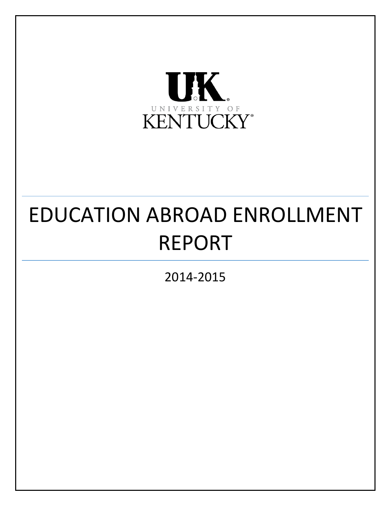

# EDUCATION ABROAD ENROLLMENT REPORT

2014-2015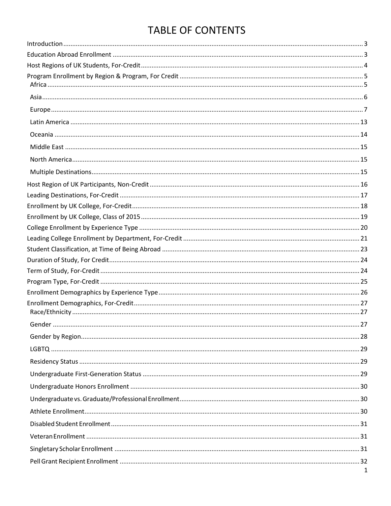# **TABLE OF CONTENTS**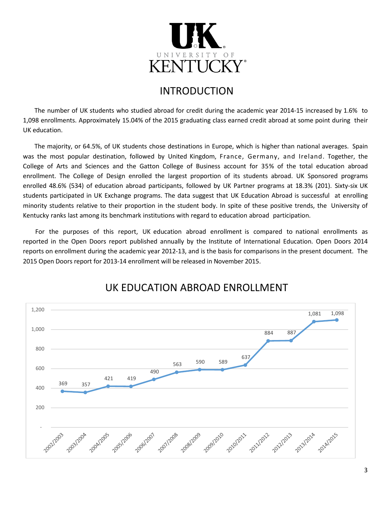

## INTRODUCTION

<span id="page-3-0"></span>The number of UK students who studied abroad for credit during the academic year 2014-15 increased by 1.6% to 1,098 enrollments. Approximately 15.04% of the 2015 graduating class earned credit abroad at some point during their UK education.

The majority, or 64.5%, of UK students chose destinations in Europe, which is higher than national averages. Spain was the most popular destination, followed by United Kingdom, France, Germany, and Ireland. Together, the College of Arts and Sciences and the Gatton College of Business account for 35% of the total education abroad enrollment. The College of Design enrolled the largest proportion of its students abroad. UK Sponsored programs enrolled 48.6% (534) of education abroad participants, followed by UK Partner programs at 18.3% (201). Sixty-six UK students participated in UK Exchange programs. The data suggest that UK Education Abroad is successful at enrolling minority students relative to their proportion in the student body. In spite of these positive trends, the University of Kentucky ranks last among its benchmark institutions with regard to education abroad participation.

For the purposes of this report, UK education abroad enrollment is compared to national enrollments as reported in the Open Doors report published annually by the Institute of International Education. Open Doors 2014 reports on enrollment during the academic year 2012-13, and is the basis for comparisons in the present document. The 2015 Open Doors report for 2013-14 enrollment will be released in November 2015.

<span id="page-3-1"></span>

# UK EDUCATION ABROAD ENROLLMENT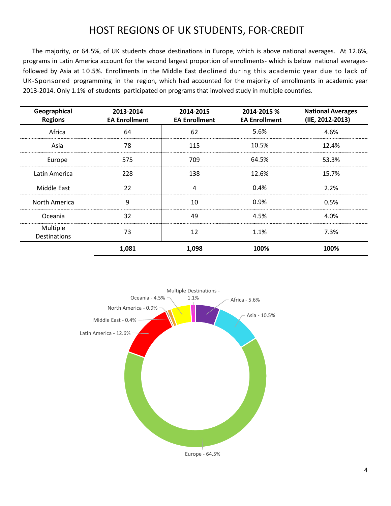# HOST REGIONS OF UK STUDENTS, FOR-CREDIT

<span id="page-4-0"></span>The majority, or 64.5%, of UK students chose destinations in Europe, which is above national averages. At 12.6%, programs in Latin America account for the second largest proportion of enrollments- which is below national averagesfollowed by Asia at 10.5%. Enrollments in the Middle East declined during this academic year due to lack of UK-Sponsored programming in the region, which had accounted for the majority of enrollments in academic year 2013-2014. Only 1.1% of students participated on programs that involved study in multiple countries.

| Geographical<br><b>Regions</b>  | 2013-2014<br><b>EA Enrollment</b> | 2014-2015<br><b>EA Enrollment</b> | 2014-2015 %<br><b>EA Enrollment</b> | <b>National Averages</b><br>(IIE, 2012-2013) |
|---------------------------------|-----------------------------------|-----------------------------------|-------------------------------------|----------------------------------------------|
| Africa                          | 64                                | 62                                | 5.6%                                | 4.6%                                         |
| Asia                            | 78                                | 115                               | 10.5%                               | 12.4%                                        |
| Europe                          | 575                               | 709                               | 64.5%                               | 53.3%                                        |
| Latin America                   | 228                               | 138                               | 12.6%                               | 15.7%                                        |
| Middle East                     | 22                                | 4                                 | 0.4%                                | 2.2%                                         |
| North America                   | 9                                 | 10                                | 0.9%                                | 0.5%                                         |
| Oceania                         | 32                                | 49                                | 4.5%                                | 4.0%                                         |
| Multiple<br><b>Destinations</b> | 73                                | 12                                | 1.1%                                | 7.3%                                         |
|                                 | 1,081                             | 1,098                             | 100%                                | 100%                                         |

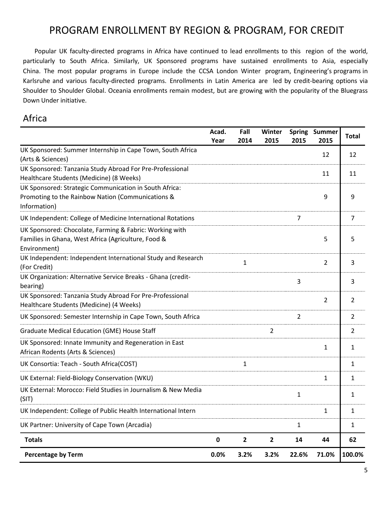# PROGRAM ENROLLMENT BY REGION & PROGRAM, FOR CREDIT

<span id="page-5-0"></span>Popular UK faculty-directed programs in Africa have continued to lead enrollments to this region of the world, particularly to South Africa. Similarly, UK Sponsored programs have sustained enrollments to Asia, especially China. The most popular programs in Europe include the CCSA London Winter program, Engineering's programs in Karlsruhe and various faculty-directed programs. Enrollments in Latin America are led by credit-bearing options via Shoulder to Shoulder Global. Oceania enrollments remain modest, but are growing with the popularity of the Bluegrass Down Under initiative.

#### <span id="page-5-1"></span>Africa

|                                                                                                                                | Acad.<br>Year | Fall<br>2014   | Winter<br>2015 | 2015           | Spring Summer<br>2015 | <b>Total</b> |
|--------------------------------------------------------------------------------------------------------------------------------|---------------|----------------|----------------|----------------|-----------------------|--------------|
| UK Sponsored: Summer Internship in Cape Town, South Africa<br>(Arts & Sciences)                                                |               |                |                |                | 12                    | 12           |
| UK Sponsored: Tanzania Study Abroad For Pre-Professional<br>Healthcare Students (Medicine) (8 Weeks)                           |               |                |                |                | 11                    | 11           |
| UK Sponsored: Strategic Communication in South Africa:<br>Promoting to the Rainbow Nation (Communications &<br>Information)    |               |                |                |                | 9                     | 9            |
| UK Independent: College of Medicine International Rotations                                                                    |               |                |                | $\overline{7}$ |                       | 7            |
| UK Sponsored: Chocolate, Farming & Fabric: Working with<br>Families in Ghana, West Africa (Agriculture, Food &<br>Environment) |               |                |                |                | 5                     | 5            |
| UK Independent: Independent International Study and Research<br>(For Credit)                                                   |               | 1              |                |                | $\overline{2}$        | 3            |
| UK Organization: Alternative Service Breaks - Ghana (credit-<br>bearing)                                                       |               |                |                | $\overline{3}$ |                       | 3            |
| UK Sponsored: Tanzania Study Abroad For Pre-Professional<br>Healthcare Students (Medicine) (4 Weeks)                           |               |                |                |                | $\overline{2}$        | 2            |
| UK Sponsored: Semester Internship in Cape Town, South Africa                                                                   |               |                |                | $\overline{2}$ |                       | 2            |
| <b>Graduate Medical Education (GME) House Staff</b>                                                                            |               |                | $\overline{2}$ |                |                       | 2            |
| UK Sponsored: Innate Immunity and Regeneration in East<br>African Rodents (Arts & Sciences)                                    |               |                |                |                | 1                     | $\mathbf{1}$ |
| UK Consortia: Teach - South Africa(COST)                                                                                       |               | $\mathbf{1}$   |                |                |                       | 1            |
| UK External: Field-Biology Conservation (WKU)                                                                                  |               |                |                |                | 1                     | $\mathbf{1}$ |
| UK External: Morocco: Field Studies in Journalism & New Media<br>(SIT)                                                         |               |                |                | $\mathbf 1$    |                       | 1            |
| UK Independent: College of Public Health International Intern                                                                  |               |                |                |                | 1                     | 1            |
| UK Partner: University of Cape Town (Arcadia)                                                                                  |               |                |                | 1              |                       | 1            |
| <b>Totals</b>                                                                                                                  | 0             | $\overline{2}$ | $\overline{2}$ | 14             | 44                    | 62           |
| <b>Percentage by Term</b>                                                                                                      | 0.0%          | 3.2%           | 3.2%           | 22.6%          | 71.0%                 | 100.0%       |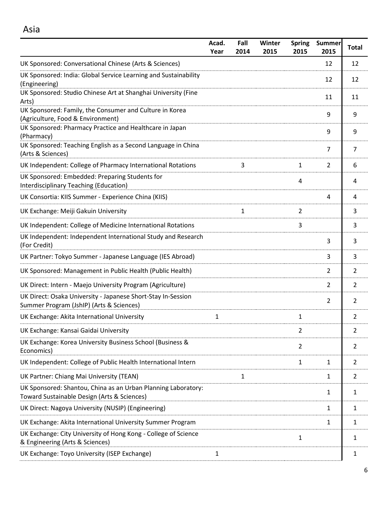<span id="page-6-0"></span>

|                                                                                                              | Acad.<br>Year | Fall<br>2014 | Winter<br>2015 | <b>Spring</b><br>2015 | <b>Summer</b><br>2015 | <b>Total</b>   |
|--------------------------------------------------------------------------------------------------------------|---------------|--------------|----------------|-----------------------|-----------------------|----------------|
| UK Sponsored: Conversational Chinese (Arts & Sciences)                                                       |               |              |                |                       | 12                    | 12             |
| UK Sponsored: India: Global Service Learning and Sustainability<br>(Engineering)                             |               |              |                |                       | 12                    | 12             |
| UK Sponsored: Studio Chinese Art at Shanghai University (Fine<br>Arts)                                       |               |              |                |                       | 11                    | 11             |
| UK Sponsored: Family, the Consumer and Culture in Korea<br>(Agriculture, Food & Environment)                 |               |              |                |                       | 9                     | 9              |
| UK Sponsored: Pharmacy Practice and Healthcare in Japan<br>(Pharmacy)                                        |               |              |                |                       | 9                     | 9              |
| UK Sponsored: Teaching English as a Second Language in China<br>(Arts & Sciences)                            |               |              |                |                       | 7                     | 7              |
| UK Independent: College of Pharmacy International Rotations                                                  |               | 3            |                | 1                     | $\overline{2}$        | 6              |
| UK Sponsored: Embedded: Preparing Students for<br>Interdisciplinary Teaching (Education)                     |               |              |                | 4                     |                       | 4              |
| UK Consortia: KIIS Summer - Experience China (KIIS)                                                          |               |              |                |                       | 4                     | 4              |
| UK Exchange: Meiji Gakuin University                                                                         |               | 1            |                | $\overline{2}$        |                       | 3              |
| UK Independent: College of Medicine International Rotations                                                  |               |              |                | 3                     |                       | 3              |
| UK Independent: Independent International Study and Research<br>(For Credit)                                 |               |              |                |                       | 3                     | 3              |
| UK Partner: Tokyo Summer - Japanese Language (IES Abroad)                                                    |               |              |                |                       | 3                     | 3              |
| UK Sponsored: Management in Public Health (Public Health)                                                    |               |              |                |                       | 2                     | 2              |
| UK Direct: Intern - Maejo University Program (Agriculture)                                                   |               |              |                |                       | 2                     | 2              |
| UK Direct: Osaka University - Japanese Short-Stay In-Session<br>Summer Program (JshIP) (Arts & Sciences)     |               |              |                |                       | 2                     | 2              |
| UK Exchange: Akita International University                                                                  | 1             |              |                | 1                     |                       | 2              |
| UK Exchange: Kansai Gaidai University                                                                        |               |              |                | $\overline{2}$        |                       | $\overline{2}$ |
| UK Exchange: Korea University Business School (Business &<br>Economics)                                      |               |              |                | $\overline{2}$        |                       | $\overline{2}$ |
| UK Independent: College of Public Health International Intern                                                |               |              |                | 1                     | 1                     | $\overline{2}$ |
| UK Partner: Chiang Mai University (TEAN)                                                                     |               | $\mathbf{1}$ |                |                       | 1                     | 2              |
| UK Sponsored: Shantou, China as an Urban Planning Laboratory:<br>Toward Sustainable Design (Arts & Sciences) |               |              |                |                       | 1                     | $\mathbf{1}$   |
| UK Direct: Nagoya University (NUSIP) (Engineering)                                                           |               |              |                |                       | 1                     | 1              |
| UK Exchange: Akita International University Summer Program                                                   |               |              |                |                       | 1                     | $\mathbf{1}$   |
| UK Exchange: City University of Hong Kong - College of Science<br>& Engineering (Arts & Sciences)            |               |              |                | 1                     |                       | 1              |
| UK Exchange: Toyo University (ISEP Exchange)                                                                 | $\mathbf{1}$  |              |                |                       |                       | 1              |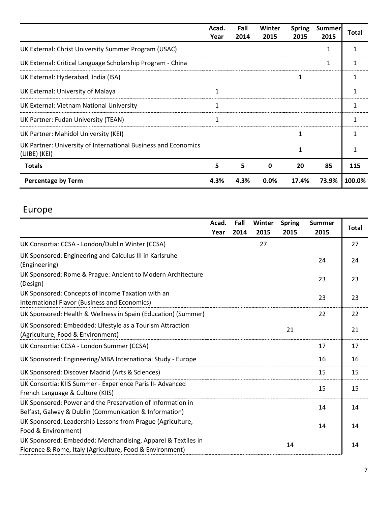|                                                                                | Acad.<br>Year | Fall<br>2014 | Winter<br>2015 | <b>Spring</b><br>2015 | <b>Summer</b><br>2015 | <b>Total</b> |
|--------------------------------------------------------------------------------|---------------|--------------|----------------|-----------------------|-----------------------|--------------|
| UK External: Christ University Summer Program (USAC)                           |               |              |                |                       | 1                     |              |
| UK External: Critical Language Scholarship Program - China                     |               |              |                |                       | 1                     |              |
| UK External: Hyderabad, India (ISA)                                            |               |              |                | 1                     |                       |              |
| UK External: University of Malaya                                              | 1             |              |                |                       |                       |              |
| UK External: Vietnam National University                                       | 1             |              |                |                       |                       | 1            |
| UK Partner: Fudan University (TEAN)                                            | 1             |              |                |                       |                       |              |
| UK Partner: Mahidol University (KEI)                                           |               |              |                | 1                     |                       |              |
| UK Partner: University of International Business and Economics<br>(UIBE) (KEI) |               |              |                | 1                     |                       |              |
| <b>Totals</b>                                                                  | 5             | 5            | $\mathbf 0$    | 20                    | 85                    | 115          |
| <b>Percentage by Term</b>                                                      | 4.3%          | 4.3%         | 0.0%           | 17.4%                 | 73.9%                 | 100.0%       |

# <span id="page-7-0"></span>Europe

|                                                                                                                          | Acad. | Fall | Winter | <b>Spring</b> | <b>Summer</b> | <b>Total</b> |
|--------------------------------------------------------------------------------------------------------------------------|-------|------|--------|---------------|---------------|--------------|
|                                                                                                                          | Year  | 2014 | 2015   | 2015          | 2015          |              |
| UK Consortia: CCSA - London/Dublin Winter (CCSA)                                                                         |       |      | 27     |               |               | 27           |
| UK Sponsored: Engineering and Calculus III in Karlsruhe<br>(Engineering)                                                 |       |      |        |               | 24            | 24           |
| UK Sponsored: Rome & Prague: Ancient to Modern Architecture<br>(Design)                                                  |       |      |        |               | 23            | 23           |
| UK Sponsored: Concepts of Income Taxation with an<br>International Flavor (Business and Economics)                       |       |      |        |               | 23            | 23           |
| UK Sponsored: Health & Wellness in Spain (Education) (Summer)                                                            |       |      |        |               | 22            | 22           |
| UK Sponsored: Embedded: Lifestyle as a Tourism Attraction<br>(Agriculture, Food & Environment)                           |       |      |        | 21            |               | 21           |
| UK Consortia: CCSA - London Summer (CCSA)                                                                                |       |      |        |               | 17            | 17           |
| UK Sponsored: Engineering/MBA International Study - Europe                                                               |       |      |        |               | 16            | 16           |
| UK Sponsored: Discover Madrid (Arts & Sciences)                                                                          |       |      |        |               | 15            | 15           |
| UK Consortia: KIIS Summer - Experience Paris II- Advanced<br>French Language & Culture (KIIS)                            |       |      |        |               | 15            | 15           |
| UK Sponsored: Power and the Preservation of Information in<br>Belfast, Galway & Dublin (Communication & Information)     |       |      |        |               | 14            | 14           |
| UK Sponsored: Leadership Lessons from Prague (Agriculture,<br>Food & Environment)                                        |       |      |        |               | 14            | 14           |
| UK Sponsored: Embedded: Merchandising, Apparel & Textiles in<br>Florence & Rome, Italy (Agriculture, Food & Environment) |       |      |        | 14            |               | 14           |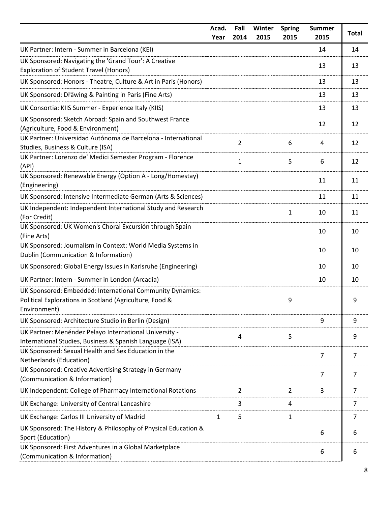|                                                                                                                                      | Acad.<br>Year | Fall<br>2014   | Winter<br>2015 | <b>Spring</b><br>2015 | <b>Summer</b><br>2015 | <b>Total</b>   |
|--------------------------------------------------------------------------------------------------------------------------------------|---------------|----------------|----------------|-----------------------|-----------------------|----------------|
| UK Partner: Intern - Summer in Barcelona (KEI)                                                                                       |               |                |                |                       | 14                    | 14             |
| UK Sponsored: Navigating the 'Grand Tour': A Creative<br><b>Exploration of Student Travel (Honors)</b>                               |               |                |                |                       | 13                    | 13             |
| UK Sponsored: Honors - Theatre, Culture & Art in Paris (Honors)                                                                      |               |                |                |                       | 13                    | 13             |
| UK Sponsored: Drawing & Painting in Paris (Fine Arts)                                                                                |               |                |                |                       | 13                    | 13             |
| UK Consortia: KIIS Summer - Experience Italy (KIIS)                                                                                  |               |                |                |                       | 13                    | 13             |
| UK Sponsored: Sketch Abroad: Spain and Southwest France<br>(Agriculture, Food & Environment)                                         |               |                |                |                       | 12                    | 12             |
| UK Partner: Universidad Autónoma de Barcelona - International<br>Studies, Business & Culture (ISA)                                   |               | $\overline{2}$ |                | 6                     | 4                     | 12             |
| UK Partner: Lorenzo de' Medici Semester Program - Florence<br>(API)                                                                  |               | $\mathbf{1}$   |                | 5                     | 6                     | 12             |
| UK Sponsored: Renewable Energy (Option A - Long/Homestay)<br>(Engineering)                                                           |               |                |                |                       | 11                    | 11             |
| UK Sponsored: Intensive Intermediate German (Arts & Sciences)                                                                        |               |                |                |                       | 11                    | 11             |
| UK Independent: Independent International Study and Research<br>(For Credit)                                                         |               |                |                | 1                     | 10                    | 11             |
| UK Sponsored: UK Women's Choral Excursión through Spain<br>(Fine Arts)                                                               |               |                |                |                       | 10                    | 10             |
| UK Sponsored: Journalism in Context: World Media Systems in<br>Dublin (Communication & Information)                                  |               |                |                |                       | 10                    | 10             |
| UK Sponsored: Global Energy Issues in Karlsruhe (Engineering)                                                                        |               |                |                |                       | 10                    | 10             |
| UK Partner: Intern - Summer in London (Arcadia)                                                                                      |               |                |                |                       | 10                    | 10             |
| UK Sponsored: Embedded: International Community Dynamics:<br>Political Explorations in Scotland (Agriculture, Food &<br>Environment) |               |                |                | 9                     |                       | 9              |
| UK Sponsored: Architecture Studio in Berlin (Design)                                                                                 |               |                |                |                       | 9                     | 9              |
| UK Partner: Menéndez Pelayo International University -<br>International Studies, Business & Spanish Language (ISA)                   |               | 4              |                | 5                     |                       | 9              |
| UK Sponsored: Sexual Health and Sex Education in the<br>Netherlands (Education)                                                      |               |                |                |                       | $\overline{7}$        | $\overline{7}$ |
| UK Sponsored: Creative Advertising Strategy in Germany<br>(Communication & Information)                                              |               |                |                |                       | $\overline{7}$        | 7              |
| UK Independent: College of Pharmacy International Rotations                                                                          |               | $\overline{2}$ |                | $\overline{2}$        | 3                     | 7              |
| UK Exchange: University of Central Lancashire                                                                                        |               | 3              |                | 4                     |                       | 7              |
| UK Exchange: Carlos III University of Madrid                                                                                         | $\mathbf{1}$  | 5              |                | $\mathbf{1}$          |                       | 7              |
| UK Sponsored: The History & Philosophy of Physical Education &<br>Sport (Education)                                                  |               |                |                |                       | 6                     | 6              |
| UK Sponsored: First Adventures in a Global Marketplace<br>(Communication & Information)                                              |               |                |                |                       | 6                     | 6              |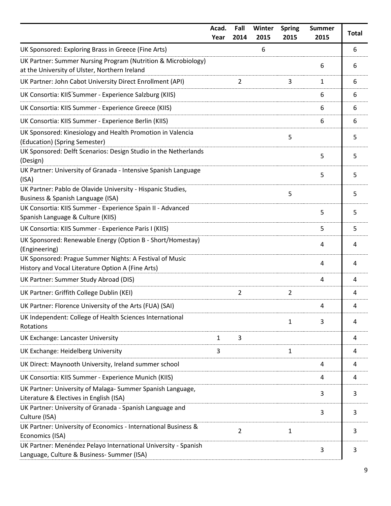|                                                                                                                | Acad.<br>Year | Fall<br>2014   | Winter<br>2015 | <b>Spring</b><br>2015 | <b>Summer</b><br>2015 | <b>Total</b> |
|----------------------------------------------------------------------------------------------------------------|---------------|----------------|----------------|-----------------------|-----------------------|--------------|
| UK Sponsored: Exploring Brass in Greece (Fine Arts)                                                            |               |                | 6              |                       |                       | 6            |
| UK Partner: Summer Nursing Program (Nutrition & Microbiology)<br>at the University of Ulster, Northern Ireland |               |                |                |                       | 6                     | 6            |
| UK Partner: John Cabot University Direct Enrollment (API)                                                      |               | 2              |                | 3                     | $\mathbf{1}$          | 6            |
| UK Consortia: KIIS Summer - Experience Salzburg (KIIS)                                                         |               |                |                |                       | 6                     | 6            |
| UK Consortia: KIIS Summer - Experience Greece (KIIS)                                                           |               |                |                |                       | 6                     | 6            |
| UK Consortia: KIIS Summer - Experience Berlin (KIIS)                                                           |               |                |                |                       | 6                     | 6            |
| UK Sponsored: Kinesiology and Health Promotion in Valencia<br>(Education) (Spring Semester)                    |               |                |                | 5                     |                       | 5            |
| UK Sponsored: Delft Scenarios: Design Studio in the Netherlands<br>(Design)                                    |               |                |                |                       | 5                     | 5            |
| UK Partner: University of Granada - Intensive Spanish Language<br>(ISA)                                        |               |                |                |                       | 5                     | 5            |
| UK Partner: Pablo de Olavide University - Hispanic Studies,<br>Business & Spanish Language (ISA)               |               |                |                | 5                     |                       | 5            |
| UK Consortia: KIIS Summer - Experience Spain II - Advanced<br>Spanish Language & Culture (KIIS)                |               |                |                |                       | 5                     | 5            |
| UK Consortia: KIIS Summer - Experience Paris I (KIIS)                                                          |               |                |                |                       | 5                     | 5            |
| UK Sponsored: Renewable Energy (Option B - Short/Homestay)<br>(Engineering)                                    |               |                |                |                       | 4                     | 4            |
| UK Sponsored: Prague Summer Nights: A Festival of Music<br>History and Vocal Literature Option A (Fine Arts)   |               |                |                |                       | 4                     | 4            |
| UK Partner: Summer Study Abroad (DIS)                                                                          |               |                |                |                       | 4                     | 4            |
| UK Partner: Griffith College Dublin (KEI)                                                                      |               | $\overline{2}$ |                | $\overline{2}$        |                       | 4            |
| UK Partner: Florence University of the Arts (FUA) (SAI)                                                        |               |                |                |                       | 4                     | 4            |
| UK Independent: College of Health Sciences International<br>Rotations                                          |               |                |                | 1                     | 3                     | 4            |
| UK Exchange: Lancaster University                                                                              | $\mathbf{1}$  | 3              |                |                       |                       | 4            |
| UK Exchange: Heidelberg University                                                                             | 3             |                |                | 1                     |                       | 4            |
| UK Direct: Maynooth University, Ireland summer school                                                          |               |                |                |                       | 4                     | 4            |
| UK Consortia: KIIS Summer - Experience Munich (KIIS)                                                           |               |                |                |                       | 4                     | 4            |
| UK Partner: University of Malaga-Summer Spanish Language,<br>Literature & Electives in English (ISA)           |               |                |                |                       | 3                     | 3            |
| UK Partner: University of Granada - Spanish Language and<br>Culture (ISA)                                      |               |                |                |                       | 3                     | 3            |
| UK Partner: University of Economics - International Business &<br>Economics (ISA)                              |               | $\overline{2}$ |                | 1                     |                       | 3            |
| UK Partner: Menéndez Pelayo International University - Spanish<br>Language, Culture & Business- Summer (ISA)   |               |                |                |                       | 3                     | 3            |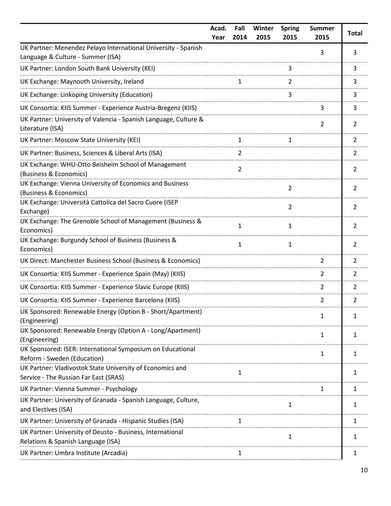|                                                                                                     | Acad.<br>Year | Fall<br>2014   | Winter<br>2015 | <b>Spring</b><br>2015 | <b>Summer</b><br>2015 | <b>Total</b>   |
|-----------------------------------------------------------------------------------------------------|---------------|----------------|----------------|-----------------------|-----------------------|----------------|
| UK Partner: Menendez Pelayo International University - Spanish<br>Language & Culture - Summer (ISA) |               |                |                |                       | 3                     | 3              |
| UK Partner: London South Bank University (KEI)                                                      |               |                |                | 3                     |                       | 3              |
| UK Exchange: Maynooth University, Ireland                                                           |               | 1              |                | 2                     |                       | 3              |
| UK Exchange: Linkoping University (Education)                                                       |               |                |                | 3                     |                       | 3              |
| UK Consortia: KIIS Summer - Experience Austria-Bregenz (KIIS)                                       |               |                |                |                       | 3                     | 3              |
| UK Partner: University of Valencia - Spanish Language, Culture &<br>Literature (ISA)                |               |                |                |                       | $\overline{2}$        | $\overline{2}$ |
| UK Partner: Moscow State University (KEI)                                                           |               | 1              |                | 1                     |                       | $\overline{2}$ |
| UK Partner: Business, Sciences & Liberal Arts (ISA)                                                 |               | 2              |                |                       |                       | $\overline{2}$ |
| UK Exchange: WHU-Otto Beisheim School of Management<br>(Business & Economics)                       |               | $\overline{2}$ |                |                       |                       | $\overline{2}$ |
| UK Exchange: Vienna University of Economics and Business<br>(Business & Economics)                  |               |                |                | $\overline{2}$        |                       | $\overline{2}$ |
| UK Exchange: Università Cattolica del Sacro Cuore (ISEP<br>Exchange)                                |               |                |                | $\overline{2}$        |                       | $\overline{2}$ |
| UK Exchange: The Grenoble School of Management (Business &<br>Economics)                            |               | $\mathbf{1}$   |                | 1                     |                       | $\overline{2}$ |
| UK Exchange: Burgundy School of Business (Business &<br>Economics)                                  |               | $\mathbf{1}$   |                | 1                     |                       | $\overline{2}$ |
| UK Direct: Manchester Business School (Business & Economics)                                        |               |                |                |                       | $\overline{2}$        | $\overline{2}$ |
| UK Consortia: KIIS Summer - Experience Spain (May) (KIIS)                                           |               |                |                |                       | $\overline{2}$        | $\overline{2}$ |
| UK Consortia: KIIS Summer - Experience Slavic Europe (KIIS)                                         |               |                |                |                       | $\overline{2}$        | $\overline{2}$ |
| UK Consortia: KIIS Summer - Experience Barcelona (KIIS)                                             |               |                |                |                       | 2                     | 2              |
| UK Sponsored: Renewable Energy (Option B - Short/Apartment)<br>(Engineering)                        |               |                |                |                       | 1                     | 1              |
| UK Sponsored: Renewable Energy (Option A - Long/Apartment)<br>(Engineering)                         |               |                |                |                       | $\mathbf{1}$          | 1              |
| UK Sponsored: ISER: International Symposium on Educational<br>Reform - Sweden (Education)           |               |                |                |                       | $\mathbf{1}$          | 1              |
| UK Partner: Vladivostok State University of Economics and<br>Service - The Russian Far East (SRAS)  |               | $\mathbf{1}$   |                |                       |                       | 1              |
| UK Partner: Vienna Summer - Psychology                                                              |               |                |                |                       | $\mathbf{1}$          | $\mathbf{1}$   |
| UK Partner: University of Granada - Spanish Language, Culture,<br>and Electives (ISA)               |               |                |                | 1                     |                       | 1              |
| UK Partner: University of Granada - Hispanic Studies (ISA)                                          |               | $\mathbf{1}$   |                |                       |                       | $\mathbf{1}$   |
| UK Partner: University of Deusto - Business, International<br>Relations & Spanish Language (ISA)    |               |                |                | $\mathbf 1$           |                       | 1              |
| UK Partner: Umbra Institute (Arcadia)                                                               |               | $\mathbf{1}$   |                |                       |                       | 1              |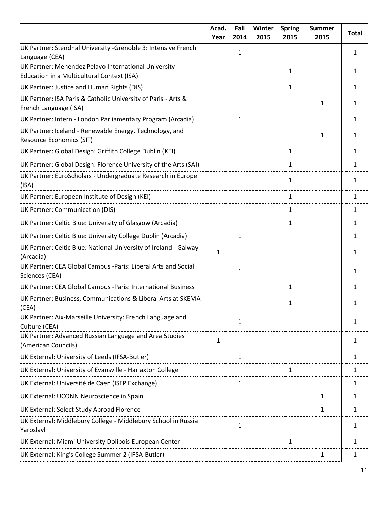|                                                                                                      | Acad.<br>Year | Fall<br>2014 | Winter<br>2015 | <b>Spring</b><br>2015 | <b>Summer</b><br>2015 | <b>Total</b> |
|------------------------------------------------------------------------------------------------------|---------------|--------------|----------------|-----------------------|-----------------------|--------------|
| UK Partner: Stendhal University -Grenoble 3: Intensive French<br>Language (CEA)                      |               | 1            |                |                       |                       | 1            |
| UK Partner: Menendez Pelayo International University -<br>Education in a Multicultural Context (ISA) |               |              |                | 1                     |                       | 1            |
| UK Partner: Justice and Human Rights (DIS)                                                           |               |              |                | 1                     |                       | 1            |
| UK Partner: ISA Paris & Catholic University of Paris - Arts &<br>French Language (ISA)               |               |              |                |                       | 1                     | 1            |
| UK Partner: Intern - London Parliamentary Program (Arcadia)                                          |               | 1            |                |                       |                       | 1            |
| UK Partner: Iceland - Renewable Energy, Technology, and<br><b>Resource Economics (SIT)</b>           |               |              |                |                       | 1                     | 1            |
| UK Partner: Global Design: Griffith College Dublin (KEI)                                             |               |              |                | 1                     |                       | 1            |
| UK Partner: Global Design: Florence University of the Arts (SAI)                                     |               |              |                | 1                     |                       | 1            |
| UK Partner: EuroScholars - Undergraduate Research in Europe<br>(ISA)                                 |               |              |                | 1                     |                       | 1            |
| UK Partner: European Institute of Design (KEI)                                                       |               |              |                | 1                     |                       | 1            |
| UK Partner: Communication (DIS)                                                                      |               |              |                | 1                     |                       | 1            |
| UK Partner: Celtic Blue: University of Glasgow (Arcadia)                                             |               |              |                | 1                     |                       | 1            |
| UK Partner: Celtic Blue: University College Dublin (Arcadia)                                         |               | $\mathbf{1}$ |                |                       |                       | 1            |
| UK Partner: Celtic Blue: National University of Ireland - Galway<br>(Arcadia)                        | $\mathbf{1}$  |              |                |                       |                       | 1            |
| UK Partner: CEA Global Campus -Paris: Liberal Arts and Social<br>Sciences (CEA)                      |               | $\mathbf{1}$ |                |                       |                       | 1            |
| UK Partner: CEA Global Campus -Paris: International Business                                         |               |              |                | 1                     |                       | 1            |
| UK Partner: Business, Communications & Liberal Arts at SKEMA<br>(CEA)                                |               |              |                | 1                     |                       | 1            |
| UK Partner: Aix-Marseille University: French Language and<br>Culture (CEA)                           |               | 1            |                |                       |                       | 1            |
| UK Partner: Advanced Russian Language and Area Studies<br>(American Councils)                        | 1             |              |                |                       |                       | 1            |
| UK External: University of Leeds (IFSA-Butler)                                                       |               | 1            |                |                       |                       | 1            |
| UK External: University of Evansville - Harlaxton College                                            |               |              |                | 1                     |                       | 1            |
| UK External: Université de Caen (ISEP Exchange)                                                      |               | 1            |                |                       |                       | 1            |
| UK External: UCONN Neuroscience in Spain                                                             |               |              |                |                       | 1                     | 1            |
| UK External: Select Study Abroad Florence                                                            |               |              |                |                       | 1                     | 1            |
| UK External: Middlebury College - Middlebury School in Russia:<br>Yaroslavl                          |               | 1            |                |                       |                       | 1            |
| UK External: Miami University Dolibois European Center                                               |               |              |                | 1                     |                       | 1            |
| UK External: King's College Summer 2 (IFSA-Butler)                                                   |               |              |                |                       | 1                     | 1            |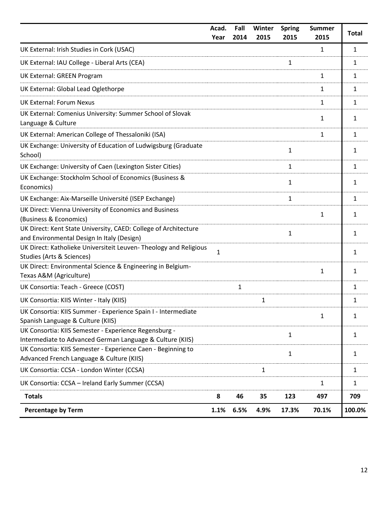|                                                                                                                    | Acad.<br>Year | Fall<br>2014 | Winter<br>2015 | <b>Spring</b><br>2015 | <b>Summer</b><br>2015 | <b>Total</b> |
|--------------------------------------------------------------------------------------------------------------------|---------------|--------------|----------------|-----------------------|-----------------------|--------------|
| UK External: Irish Studies in Cork (USAC)                                                                          |               |              |                |                       | $\mathbf{1}$          | $\mathbf{1}$ |
| UK External: IAU College - Liberal Arts (CEA)                                                                      |               |              |                | 1                     |                       | 1            |
| UK External: GREEN Program                                                                                         |               |              |                |                       | $\mathbf{1}$          | 1            |
| UK External: Global Lead Oglethorpe                                                                                |               |              |                |                       | 1                     | 1            |
| <b>UK External: Forum Nexus</b>                                                                                    |               |              |                |                       | 1                     | 1            |
| UK External: Comenius University: Summer School of Slovak<br>Language & Culture                                    |               |              |                |                       | 1                     | 1            |
| UK External: American College of Thessaloniki (ISA)                                                                |               |              |                |                       | $\mathbf{1}$          | $\mathbf{1}$ |
| UK Exchange: University of Education of Ludwigsburg (Graduate<br>School)                                           |               |              |                | 1                     |                       | 1            |
| UK Exchange: University of Caen (Lexington Sister Cities)                                                          |               |              |                | 1                     |                       | 1            |
| UK Exchange: Stockholm School of Economics (Business &<br>Economics)                                               |               |              |                | 1                     |                       | 1            |
| UK Exchange: Aix-Marseille Université (ISEP Exchange)                                                              |               |              |                | 1                     |                       | $\mathbf{1}$ |
| UK Direct: Vienna University of Economics and Business<br>(Business & Economics)                                   |               |              |                |                       | $\mathbf{1}$          | 1            |
| UK Direct: Kent State University, CAED: College of Architecture<br>and Environmental Design In Italy (Design)      |               |              |                | 1                     |                       | 1            |
| UK Direct: Katholieke Universiteit Leuven- Theology and Religious<br>Studies (Arts & Sciences)                     | $\mathbf{1}$  |              |                |                       |                       | $\mathbf{1}$ |
| UK Direct: Environmental Science & Engineering in Belgium-<br>Texas A&M (Agriculture)                              |               |              |                |                       | $\mathbf{1}$          | 1            |
| UK Consortia: Teach - Greece (COST)                                                                                |               | 1            |                |                       |                       | 1            |
| UK Consortia: KIIS Winter - Italy (KIIS)                                                                           |               |              | 1              |                       |                       | 1            |
| UK Consortia: KIIS Summer - Experience Spain I - Intermediate<br>Spanish Language & Culture (KIIS)                 |               |              |                |                       | 1                     | 1            |
| UK Consortia: KIIS Semester - Experience Regensburg -<br>Intermediate to Advanced German Language & Culture (KIIS) |               |              |                | 1                     |                       | 1            |
| UK Consortia: KIIS Semester - Experience Caen - Beginning to<br>Advanced French Language & Culture (KIIS)          |               |              |                | 1                     |                       | $\mathbf{1}$ |
| UK Consortia: CCSA - London Winter (CCSA)                                                                          |               |              | 1              |                       |                       | 1            |
| UK Consortia: CCSA - Ireland Early Summer (CCSA)                                                                   |               |              |                |                       | $\mathbf{1}$          | $\mathbf{1}$ |
| <b>Totals</b>                                                                                                      | 8             | 46           | 35             | 123                   | 497                   | 709          |
| <b>Percentage by Term</b>                                                                                          | 1.1%          | 6.5%         | 4.9%           | 17.3%                 | 70.1%                 | 100.0%       |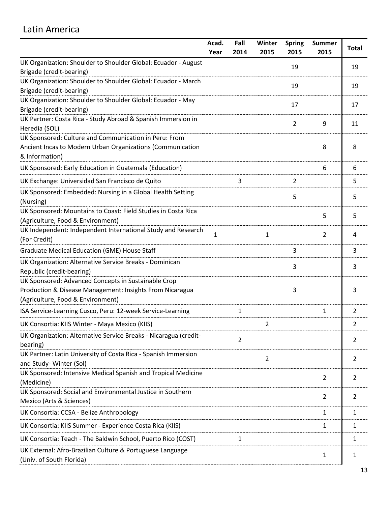## <span id="page-13-0"></span>Latin America

| Fall<br>Acad.                                                                                      | Winter         | <b>Spring</b>  | <b>Summer</b> | <b>Total</b>   |
|----------------------------------------------------------------------------------------------------|----------------|----------------|---------------|----------------|
| Year<br>2014                                                                                       | 2015           | 2015           | 2015          |                |
| UK Organization: Shoulder to Shoulder Global: Ecuador - August<br>Brigade (credit-bearing)         |                | 19             |               | 19             |
| UK Organization: Shoulder to Shoulder Global: Ecuador - March                                      |                | 19             |               | 19             |
| Brigade (credit-bearing)                                                                           |                |                |               |                |
| UK Organization: Shoulder to Shoulder Global: Ecuador - May                                        |                | 17             |               | 17             |
| Brigade (credit-bearing)                                                                           |                |                |               |                |
| UK Partner: Costa Rica - Study Abroad & Spanish Immersion in<br>Heredia (SOL)                      |                | $\overline{2}$ | 9             | 11             |
| UK Sponsored: Culture and Communication in Peru: From                                              |                |                |               |                |
| Ancient Incas to Modern Urban Organizations (Communication<br>& Information)                       |                |                | 8             | 8              |
| UK Sponsored: Early Education in Guatemala (Education)                                             |                |                | 6             | 6              |
| 3<br>UK Exchange: Universidad San Francisco de Quito                                               |                | 2              |               | 5              |
| UK Sponsored: Embedded: Nursing in a Global Health Setting<br>(Nursing)                            |                | 5              |               | 5              |
| UK Sponsored: Mountains to Coast: Field Studies in Costa Rica<br>(Agriculture, Food & Environment) |                |                | 5             | 5              |
| UK Independent: Independent International Study and Research<br>1<br>(For Credit)                  | 1              |                | 2             | 4              |
| Graduate Medical Education (GME) House Staff                                                       |                | 3              |               | 3              |
| UK Organization: Alternative Service Breaks - Dominican<br>Republic (credit-bearing)               |                | 3              |               | 3              |
| UK Sponsored: Advanced Concepts in Sustainable Crop                                                |                |                |               |                |
| Production & Disease Management: Insights From Nicaragua                                           |                | 3              |               | 3              |
| (Agriculture, Food & Environment)                                                                  |                |                |               |                |
| ISA Service-Learning Cusco, Peru: 12-week Service-Learning<br>1                                    |                |                | $\mathbf{1}$  | $\overline{2}$ |
| UK Consortia: KIIS Winter - Maya Mexico (KIIS)                                                     | 2              |                |               | 2              |
| UK Organization: Alternative Service Breaks - Nicaragua (credit-<br>$\overline{2}$<br>bearing)     |                |                |               | 2              |
| UK Partner: Latin University of Costa Rica - Spanish Immersion                                     | $\overline{2}$ |                |               | 2              |
| and Study-Winter (Sol)                                                                             |                |                |               |                |
| UK Sponsored: Intensive Medical Spanish and Tropical Medicine<br>(Medicine)                        |                |                | 2             | 2              |
| UK Sponsored: Social and Environmental Justice in Southern                                         |                |                | 2             | 2              |
| Mexico (Arts & Sciences)                                                                           |                |                |               |                |
| UK Consortia: CCSA - Belize Anthropology                                                           |                |                | 1             | 1              |
| UK Consortia: KIIS Summer - Experience Costa Rica (KIIS)                                           |                |                | 1             | 1              |
| UK Consortia: Teach - The Baldwin School, Puerto Rico (COST)<br>1                                  |                |                |               | 1              |
| UK External: Afro-Brazilian Culture & Portuguese Language<br>(Univ. of South Florida)              |                |                | 1             | 1              |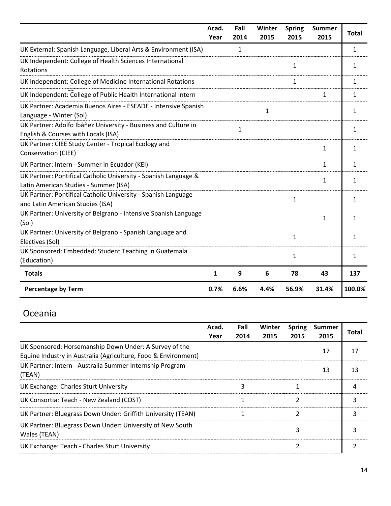|                                                                                                          | Acad.<br>Year | Fall<br>2014 | Winter<br>2015 | <b>Spring</b><br>2015 | <b>Summer</b><br>2015 | <b>Total</b> |
|----------------------------------------------------------------------------------------------------------|---------------|--------------|----------------|-----------------------|-----------------------|--------------|
| UK External: Spanish Language, Liberal Arts & Environment (ISA)                                          |               | $\mathbf{1}$ |                |                       |                       | 1            |
| UK Independent: College of Health Sciences International<br>Rotations                                    |               |              |                | 1                     |                       | 1            |
| UK Independent: College of Medicine International Rotations                                              |               |              |                | 1                     |                       | 1            |
| UK Independent: College of Public Health International Intern                                            |               |              |                |                       | 1                     | 1            |
| UK Partner: Academia Buenos Aires - ESEADE - Intensive Spanish<br>Language - Winter (Sol)                |               |              | $\mathbf{1}$   |                       |                       | 1            |
| UK Partner: Adolfo Ibáñez University - Business and Culture in<br>English & Courses with Locals (ISA)    |               | $\mathbf{1}$ |                |                       |                       | 1            |
| UK Partner: CIEE Study Center - Tropical Ecology and<br>Conservation (CIEE)                              |               |              |                |                       | $\mathbf{1}$          | 1            |
| UK Partner: Intern - Summer in Ecuador (KEI)                                                             |               |              |                |                       | $\mathbf{1}$          | 1            |
| UK Partner: Pontifical Catholic University - Spanish Language &<br>Latin American Studies - Summer (ISA) |               |              |                |                       | 1                     | 1            |
| UK Partner: Pontifical Catholic University - Spanish Language<br>and Latin American Studies (ISA)        |               |              |                | 1                     |                       | 1            |
| UK Partner: University of Belgrano - Intensive Spanish Language<br>(Sol)                                 |               |              |                |                       | $\mathbf{1}$          | 1            |
| UK Partner: University of Belgrano - Spanish Language and<br>Electives (Sol)                             |               |              |                | $\mathbf{1}$          |                       | 1            |
| UK Sponsored: Embedded: Student Teaching in Guatemala<br>(Education)                                     |               |              |                | 1                     |                       | 1            |
| <b>Totals</b>                                                                                            | $\mathbf{1}$  | 9            | 6              | 78                    | 43                    | 137          |
| <b>Percentage by Term</b>                                                                                | 0.7%          | 6.6%         | 4.4%           | 56.9%                 | 31.4%                 | 100.0%       |

# <span id="page-14-0"></span>Oceania

|                                                                                                                          | Acad.<br>Year | Fall<br>2014 | Winter<br>2015 | <b>Spring</b><br>2015 | <b>Summer</b><br>2015 | Total |
|--------------------------------------------------------------------------------------------------------------------------|---------------|--------------|----------------|-----------------------|-----------------------|-------|
| UK Sponsored: Horsemanship Down Under: A Survey of the<br>Equine Industry in Australia (Agriculture, Food & Environment) |               |              |                |                       | 17                    | 17    |
| UK Partner: Intern - Australia Summer Internship Program<br>(TEAN)                                                       |               |              |                |                       | 13                    | 13    |
| <b>UK Exchange: Charles Sturt University</b>                                                                             |               | 3            |                |                       |                       | 4     |
| UK Consortia: Teach - New Zealand (COST)                                                                                 |               |              |                | 2                     |                       | 3     |
| UK Partner: Bluegrass Down Under: Griffith University (TEAN)                                                             |               |              |                | $\overline{2}$        |                       | ς     |
| UK Partner: Bluegrass Down Under: University of New South<br>Wales (TEAN)                                                |               |              |                | 3                     |                       |       |
| UK Exchange: Teach - Charles Sturt University                                                                            |               |              |                | $\overline{2}$        |                       |       |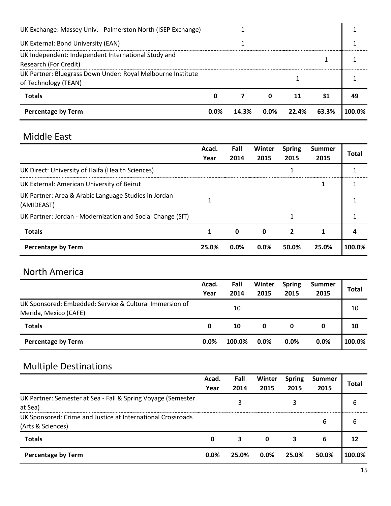| <b>Percentage by Term</b>                                                           | $0.0\%$ | 14.3% | $0.0\%$     | 22.4% | 63.3% | 100.0% |
|-------------------------------------------------------------------------------------|---------|-------|-------------|-------|-------|--------|
| <b>Totals</b>                                                                       | 0       |       | $\mathbf 0$ | 11    | 31    | 49     |
| UK Partner: Bluegrass Down Under: Royal Melbourne Institute<br>of Technology (TEAN) |         |       |             |       |       |        |
| UK Independent: Independent International Study and<br>Research (For Credit)        |         |       |             |       |       |        |
| UK External: Bond University (EAN)                                                  |         |       |             |       |       |        |
| UK Exchange: Massey Univ. - Palmerston North (ISEP Exchange)                        |         |       |             |       |       |        |
|                                                                                     |         |       |             |       |       |        |

## <span id="page-15-0"></span>Middle East

|                                                                    | Acad.<br>Year | Fall<br>2014 | <b>Winter</b><br>2015 | <b>Spring</b><br>2015 | <b>Summer</b><br>2015 | Total  |
|--------------------------------------------------------------------|---------------|--------------|-----------------------|-----------------------|-----------------------|--------|
| UK Direct: University of Haifa (Health Sciences)                   |               |              |                       |                       |                       |        |
| UK External: American University of Beirut                         |               |              |                       |                       | 1                     |        |
| UK Partner: Area & Arabic Language Studies in Jordan<br>(AMIDEAST) |               |              |                       |                       |                       |        |
| UK Partner: Jordan - Modernization and Social Change (SIT)         |               |              |                       |                       |                       |        |
| <b>Totals</b>                                                      | 1             | 0            | 0                     | 2                     |                       |        |
| <b>Percentage by Term</b>                                          | 25.0%         | $0.0\%$      | $0.0\%$               | 50.0%                 | 25.0%                 | 100.0% |

## <span id="page-15-1"></span>North America

|                                                                                  | Acad.<br>Year | Fall<br>2014 | Winter<br>2015 | <b>Spring</b><br>2015 | <b>Summer</b><br>2015 | <b>Total</b> |
|----------------------------------------------------------------------------------|---------------|--------------|----------------|-----------------------|-----------------------|--------------|
| UK Sponsored: Embedded: Service & Cultural Immersion of<br>Merida, Mexico (CAFE) |               | 10           |                |                       |                       | 10           |
| <b>Totals</b>                                                                    | 0             | 10           | 0              | 0                     | 0                     | 10           |
| <b>Percentage by Term</b>                                                        | $0.0\%$       | 100.0%       | $0.0\%$        | $0.0\%$               | $0.0\%$               | 100.0%       |

# <span id="page-15-2"></span>Multiple Destinations

|                                                                                  | Acad.<br>Year | Fall<br>2014 | Winter<br>2015 | <b>Spring</b><br>2015 | <b>Summer</b><br>2015 | Total  |
|----------------------------------------------------------------------------------|---------------|--------------|----------------|-----------------------|-----------------------|--------|
| UK Partner: Semester at Sea - Fall & Spring Voyage (Semester<br>at Sea)          |               | 3            |                |                       |                       | 6      |
| UK Sponsored: Crime and Justice at International Crossroads<br>(Arts & Sciences) |               |              |                |                       | 6                     | 6      |
| <b>Totals</b>                                                                    | 0             | 3            | 0              | 3                     | 6                     | 12     |
| <b>Percentage by Term</b>                                                        | 0.0%          | 25.0%        | $0.0\%$        | 25.0%                 | 50.0%                 | 100.0% |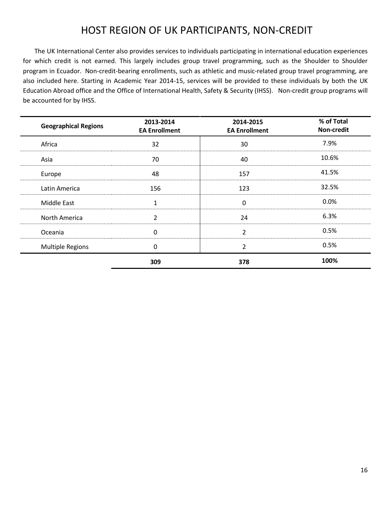## HOST REGION OF UK PARTICIPANTS, NON-CREDIT

<span id="page-16-0"></span>The UK International Center also provides services to individuals participating in international education experiences for which credit is not earned. This largely includes group travel programming, such as the Shoulder to Shoulder program in Ecuador. Non-credit-bearing enrollments, such as athletic and music-related group travel programming, are also included here. Starting in Academic Year 2014-15, services will be provided to these individuals by both the UK Education Abroad office and the Office of International Health, Safety & Security (IHSS). Non-credit group programs will be accounted for by IHSS.

| <b>Geographical Regions</b> | 2013-2014<br><b>EA Enrollment</b> | 2014-2015<br><b>EA Enrollment</b> | % of Total<br>Non-credit |
|-----------------------------|-----------------------------------|-----------------------------------|--------------------------|
| Africa                      | 32                                | 30                                | 7.9%                     |
| Asia                        | 70                                | 40                                | 10.6%                    |
| Europe                      | 48                                | 157                               | 41.5%                    |
| Latin America               | 156                               | 123                               | 32.5%                    |
| Middle East                 | 1                                 | $\mathbf{0}$                      | 0.0%                     |
| North America               | $\overline{2}$                    | 24                                | 6.3%                     |
| Oceania                     | $\Omega$                          | $\overline{2}$                    | 0.5%                     |
| <b>Multiple Regions</b>     | 0                                 | $\overline{2}$                    | 0.5%                     |
|                             | 309                               | 378                               | 100%                     |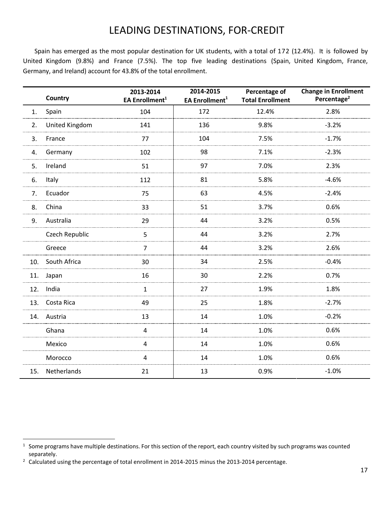## LEADING DESTINATIONS, FOR-CREDIT

<span id="page-17-0"></span>Spain has emerged as the most popular destination for UK students, with a total of 172 (12.4%). It is followed by United Kingdom (9.8%) and France (7.5%). The top five leading destinations (Spain, United Kingdom, France, Germany, and Ireland) account for 43.8% of the total enrollment.

|     | Country        | 2013-2014<br>EA Enrollment <sup>1</sup> | 2014-2015<br>EA Enrollment <sup>1</sup> | Percentage of<br><b>Total Enrollment</b> | <b>Change in Enrollment</b><br>Percentage <sup>2</sup> |
|-----|----------------|-----------------------------------------|-----------------------------------------|------------------------------------------|--------------------------------------------------------|
| 1.  | Spain          | 104                                     | 172                                     | 12.4%                                    | 2.8%                                                   |
| 2.  | United Kingdom | 141                                     | 136                                     | 9.8%                                     | $-3.2%$                                                |
| 3.  | France         | 77                                      | 104                                     | 7.5%                                     | $-1.7%$                                                |
| 4.  | Germany        | 102                                     | 98                                      | 7.1%                                     | $-2.3%$                                                |
| 5.  | Ireland        | 51                                      | 97                                      | 7.0%                                     | 2.3%                                                   |
| 6.  | Italy          | 112                                     | 81                                      | 5.8%                                     | $-4.6%$                                                |
| 7.  | Ecuador        | 75                                      | 63                                      | 4.5%                                     | $-2.4%$                                                |
| 8.  | China          | 33                                      | 51                                      | 3.7%                                     | 0.6%                                                   |
| 9.  | Australia      | 29                                      | 44                                      | 3.2%                                     | 0.5%                                                   |
|     | Czech Republic | 5                                       | 44                                      | 3.2%                                     | 2.7%                                                   |
|     | Greece         | $\overline{7}$                          | 44                                      | 3.2%                                     | 2.6%                                                   |
| 10. | South Africa   | 30                                      | 34                                      | 2.5%                                     | $-0.4%$                                                |
| 11. | Japan          | 16                                      | 30                                      | 2.2%                                     | 0.7%                                                   |
| 12. | India          | $\mathbf{1}$                            | 27                                      | 1.9%                                     | 1.8%                                                   |
| 13. | Costa Rica     | 49                                      | 25                                      | 1.8%                                     | $-2.7%$                                                |
| 14. | Austria        | 13                                      | 14                                      | 1.0%                                     | $-0.2%$                                                |
|     | Ghana          | 4                                       | 14                                      | 1.0%                                     | 0.6%                                                   |
|     | Mexico         | 4                                       | 14                                      | 1.0%                                     | 0.6%                                                   |
|     | Morocco        | 4                                       | 14                                      | 1.0%                                     | 0.6%                                                   |
| 15. | Netherlands    | 21                                      | 13                                      | 0.9%                                     | $-1.0%$                                                |

 $\overline{a}$ 

 $1$  Some programs have multiple destinations. For this section of the report, each country visited by such programs was counted separately.

<sup>&</sup>lt;sup>2</sup> Calculated using the percentage of total enrollment in 2014-2015 minus the 2013-2014 percentage.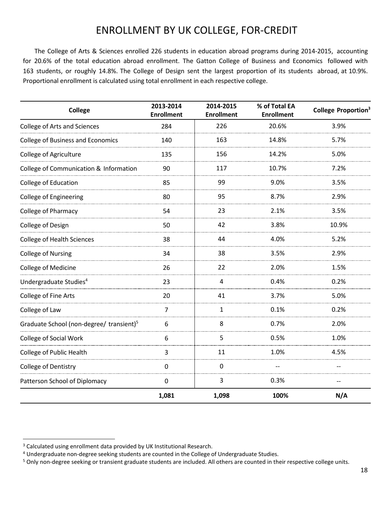## ENROLLMENT BY UK COLLEGE, FOR-CREDIT

<span id="page-18-0"></span>The College of Arts & Sciences enrolled 226 students in education abroad programs during 2014-2015, accounting for 20.6% of the total education abroad enrollment. The Gatton College of Business and Economics followed with 163 students, or roughly 14.8%. The College of Design sent the largest proportion of its students abroad, at 10.9%. Proportional enrollment is calculated using total enrollment in each respective college.

| <b>College</b>                                       | 2013-2014<br><b>Enrollment</b> | 2014-2015<br><b>Enrollment</b> | % of Total EA<br><b>Enrollment</b> | College Proportion <sup>3</sup> |
|------------------------------------------------------|--------------------------------|--------------------------------|------------------------------------|---------------------------------|
| <b>College of Arts and Sciences</b>                  | 284                            | 226                            | 20.6%                              | 3.9%                            |
| <b>College of Business and Economics</b>             | 140                            | 163                            | 14.8%                              | 5.7%                            |
| <b>College of Agriculture</b>                        | 135                            | 156                            | 14.2%                              | 5.0%                            |
| College of Communication & Information               | 90                             | 117                            | 10.7%                              | 7.2%                            |
| College of Education                                 | 85                             | 99                             | 9.0%                               | 3.5%                            |
| <b>College of Engineering</b>                        | 80                             | 95                             | 8.7%                               | 2.9%                            |
| College of Pharmacy                                  | 54                             | 23                             | 2.1%                               | 3.5%                            |
| College of Design                                    | 50                             | 42                             | 3.8%                               | 10.9%                           |
| <b>College of Health Sciences</b>                    | 38                             | 44                             | 4.0%                               | 5.2%                            |
| <b>College of Nursing</b>                            | 34                             | 38                             | 3.5%                               | 2.9%                            |
| College of Medicine                                  | 26                             | 22                             | 2.0%                               | 1.5%                            |
| Undergraduate Studies <sup>4</sup>                   | 23                             | 4                              | 0.4%                               | 0.2%                            |
| College of Fine Arts                                 | 20                             | 41                             | 3.7%                               | 5.0%                            |
| College of Law                                       | $\overline{7}$                 | 1                              | 0.1%                               | 0.2%                            |
| Graduate School (non-degree/ transient) <sup>5</sup> | 6                              | 8                              | 0.7%                               | 2.0%                            |
| <b>College of Social Work</b>                        | 6                              | 5                              | 0.5%                               | 1.0%                            |
| College of Public Health                             | 3                              | 11                             | 1.0%                               | 4.5%                            |
| College of Dentistry                                 | $\mathbf 0$                    | $\mathbf 0$                    | $-$                                | $-$                             |
| Patterson School of Diplomacy                        | $\pmb{0}$                      | 3                              | 0.3%                               | $-$                             |
|                                                      | 1,081                          | 1,098                          | 100%                               | N/A                             |

 $\overline{a}$ 

<sup>&</sup>lt;sup>3</sup> Calculated using enrollment data provided by UK Institutional Research.

<sup>4</sup> Undergraduate non-degree seeking students are counted in the College of Undergraduate Studies.

<sup>&</sup>lt;sup>5</sup> Only non-degree seeking or transient graduate students are included. All others are counted in their respective college units.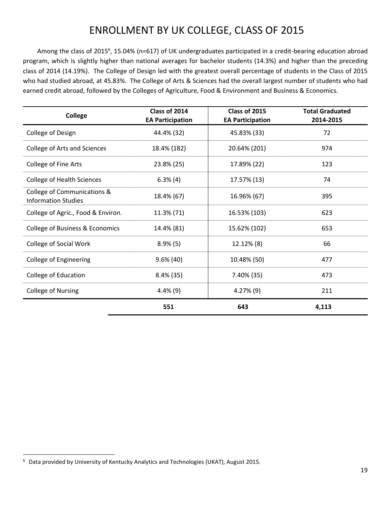# ENROLLMENT BY UK COLLEGE, CLASS OF 2015

<span id="page-19-0"></span>Among the class of 2015<sup>6</sup>, 15.04% (n=617) of UK undergraduates participated in a credit-bearing education abroad program, which is slightly higher than national averages for bachelor students (14.3%) and higher than the preceding class of 2014 (14.19%). The College of Design led with the greatest overall percentage of students in the Class of 2015 who had studied abroad, at 45.83%. The College of Arts & Sciences had the overall largest number of students who had earned credit abroad, followed by the Colleges of Agriculture, Food & Environment and Business & Economics.

| College                                                   | Class of 2014<br><b>EA Participation</b> | Class of 2015<br><b>EA Participation</b> | <b>Total Graduated</b><br>2014-2015 |
|-----------------------------------------------------------|------------------------------------------|------------------------------------------|-------------------------------------|
| College of Design                                         | 44.4% (32)                               | 45.83% (33)                              | 72                                  |
| <b>College of Arts and Sciences</b>                       | 18.4% (182)                              | 20.64% (201)                             | 974                                 |
| College of Fine Arts                                      | 23.8% (25)                               | 17.89% (22)                              | 123                                 |
| <b>College of Health Sciences</b>                         | $6.3\%$ (4)                              | 17.57% (13)                              | 74                                  |
| College of Communications &<br><b>Information Studies</b> | 18.4% (67)                               | 16.96% (67)                              | 395                                 |
| College of Agric., Food & Environ.                        | 11.3% (71)                               | 16.53% (103)                             | 623                                 |
| College of Business & Economics                           | 14.4% (81)                               | 15.62% (102)                             | 653                                 |
| <b>College of Social Work</b>                             | $8.9\%$ (5)                              | 12.12% (8)                               | 66                                  |
| <b>College of Engineering</b>                             | $9.6\%$ (40)                             | 10.48% (50)                              | 477                                 |
| College of Education                                      | $8.4\%$ (35)                             | 7.40% (35)                               | 473                                 |
| <b>College of Nursing</b>                                 | $4.4\%$ (9)                              | $4.27\%$ (9)                             | 211                                 |
|                                                           | 551                                      | 643                                      | 4,113                               |

l

<sup>6</sup> Data provided by University of Kentucky Analytics and Technologies (UKAT), August 2015.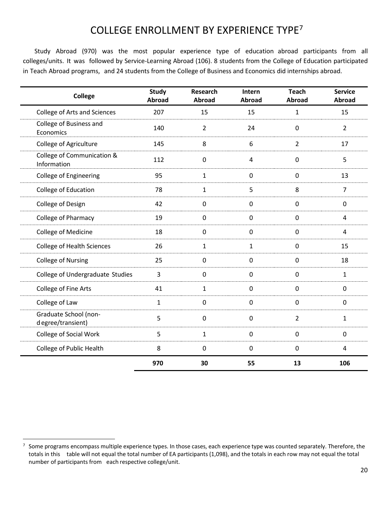# COLLEGE ENROLLMENT BY EXPERIENCE TYPE<sup>7</sup>

<span id="page-20-0"></span>Study Abroad (970) was the most popular experience type of education abroad participants from all colleges/units. It was followed by Service-Learning Abroad (106). 8 students from the College of Education participated in Teach Abroad programs, and 24 students from the College of Business and Economics did internships abroad.

| <b>College</b>                              | <b>Study</b><br>Abroad | <b>Research</b><br>Abroad | Intern<br><b>Abroad</b> | <b>Teach</b><br><b>Abroad</b> | <b>Service</b><br>Abroad |
|---------------------------------------------|------------------------|---------------------------|-------------------------|-------------------------------|--------------------------|
| <b>College of Arts and Sciences</b>         | 207                    | 15                        | 15                      | $\mathbf{1}$                  | 15                       |
| College of Business and<br>Economics        | 140                    | $\overline{2}$            | 24                      | $\mathbf 0$                   | $\overline{2}$           |
| College of Agriculture                      | 145                    | 8                         | 6                       | $\overline{2}$                | 17                       |
| College of Communication &<br>Information   | 112                    | $\mathbf 0$               | 4                       | $\mathbf 0$                   | 5                        |
| College of Engineering                      | 95                     | $\mathbf{1}$              | $\mathbf 0$             | $\mathbf 0$                   | 13                       |
| College of Education                        | 78                     | 1                         | 5                       | 8                             | $\overline{7}$           |
| College of Design                           | 42                     | $\mathbf 0$               | 0                       | $\mathbf 0$                   | $\mathbf 0$              |
| College of Pharmacy                         | 19                     | $\mathbf 0$               | $\mathbf 0$             | $\mathbf 0$                   | 4                        |
| College of Medicine                         | 18                     | $\mathbf 0$               | $\mathbf 0$             | $\mathbf 0$                   | 4                        |
| <b>College of Health Sciences</b>           | 26                     | $\mathbf{1}$              | $\mathbf{1}$            | $\mathbf 0$                   | 15                       |
| <b>College of Nursing</b>                   | 25                     | $\mathbf 0$               | $\mathbf 0$             | $\mathbf 0$                   | 18                       |
| College of Undergraduate Studies            | 3                      | $\mathbf 0$               | $\pmb{0}$               | $\mathbf 0$                   | $\mathbf{1}$             |
| College of Fine Arts                        | 41                     | 1                         | $\mathbf 0$             | $\mathbf 0$                   | 0                        |
| College of Law                              | 1                      | $\mathbf 0$               | $\mathbf 0$             | $\mathbf 0$                   | 0                        |
| Graduate School (non-<br>d egree/transient) | 5                      | $\pmb{0}$                 | $\pmb{0}$               | $\overline{2}$                | $\mathbf{1}$             |
| College of Social Work                      | 5                      | $\mathbf{1}$              | $\mathbf 0$             | $\mathbf 0$                   | 0                        |
| College of Public Health                    | 8                      | $\mathbf 0$               | $\mathbf 0$             | $\mathbf 0$                   | 4                        |
|                                             | 970                    | 30                        | 55                      | 13                            | 106                      |

 $\overline{a}$ 

<sup>7</sup> Some programs encompass multiple experience types. In those cases, each experience type was counted separately. Therefore, the totals in this table will not equal the total number of EA participants (1,098), and the totals in each row may not equal the total number of participants from each respective college/unit.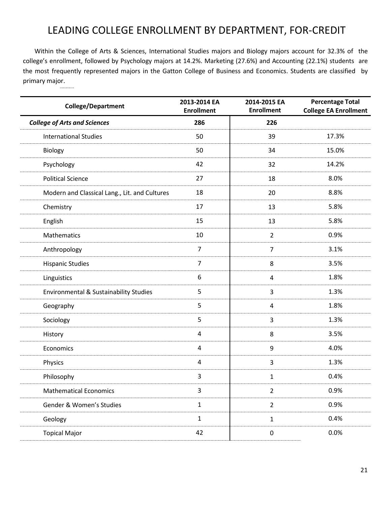# LEADING COLLEGE ENROLLMENT BY DEPARTMENT, FOR-CREDIT

<span id="page-21-0"></span>Within the College of Arts & Sciences, International Studies majors and Biology majors account for 32.3% of the college's enrollment, followed by Psychology majors at 14.2%. Marketing (27.6%) and Accounting (22.1%) students are the most frequently represented majors in the Gatton College of Business and Economics. Students are classified by primary major.

| <b>College/Department</b>                     | 2013-2014 EA<br><b>Enrollment</b> | 2014-2015 EA<br><b>Enrollment</b> | <b>Percentage Total</b><br><b>College EA Enrollment</b> |
|-----------------------------------------------|-----------------------------------|-----------------------------------|---------------------------------------------------------|
| <b>College of Arts and Sciences</b>           | 286                               | 226                               |                                                         |
| <b>International Studies</b>                  | 50                                | 39                                | 17.3%                                                   |
| Biology                                       | 50                                | 34                                | 15.0%                                                   |
| Psychology                                    | 42                                | 32                                | 14.2%                                                   |
| <b>Political Science</b>                      | 27                                | 18                                | 8.0%                                                    |
| Modern and Classical Lang., Lit. and Cultures | 18                                | 20                                | 8.8%                                                    |
| Chemistry                                     | 17                                | 13                                | 5.8%                                                    |
| English                                       | 15                                | 13                                | 5.8%                                                    |
| Mathematics                                   | 10                                | $\overline{2}$                    | 0.9%                                                    |
| Anthropology                                  | $\overline{7}$                    | $\overline{7}$                    | 3.1%                                                    |
| <b>Hispanic Studies</b>                       | $\overline{7}$                    | 8                                 | 3.5%                                                    |
| Linguistics                                   | 6                                 | 4                                 | 1.8%                                                    |
| Environmental & Sustainability Studies        | 5                                 | 3                                 | 1.3%                                                    |
| Geography                                     | 5                                 | 4                                 | 1.8%                                                    |
| Sociology                                     | 5                                 | 3                                 | 1.3%                                                    |
| History                                       | $\overline{4}$                    | 8                                 | 3.5%                                                    |
| Economics                                     | $\overline{4}$                    | $\boldsymbol{9}$                  | 4.0%                                                    |
| Physics                                       | $\overline{4}$                    | 3                                 | 1.3%                                                    |
| Philosophy                                    | 3                                 | 1                                 | 0.4%                                                    |
| <b>Mathematical Economics</b>                 | $\mathbf{3}$                      | $\overline{2}$                    | 0.9%                                                    |
| Gender & Women's Studies                      | $\mathbf 1$                       | $\overline{2}$                    | 0.9%                                                    |
| Geology                                       | $\mathbf 1$                       | $\mathbf 1$                       | 0.4%                                                    |
| <b>Topical Major</b>                          | 42                                | $\pmb{0}$                         | 0.0%                                                    |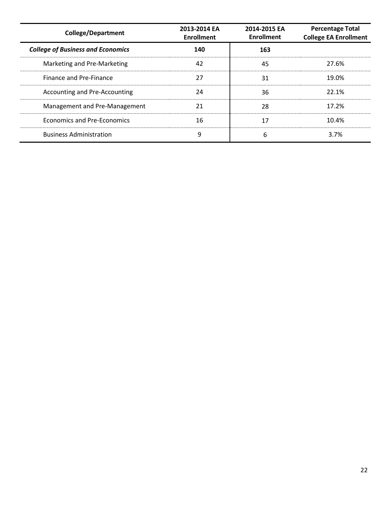| <b>College/Department</b>                | 2013-2014 EA<br><b>Enrollment</b> | 2014-2015 EA<br><b>Enrollment</b> | <b>Percentage Total</b><br><b>College EA Enrollment</b> |
|------------------------------------------|-----------------------------------|-----------------------------------|---------------------------------------------------------|
| <b>College of Business and Economics</b> | 140                               | 163                               |                                                         |
| Marketing and Pre-Marketing              | 42                                | 45                                | 27.6%                                                   |
| <b>Finance and Pre-Finance</b>           | 27                                | 31                                | 19.0%                                                   |
| Accounting and Pre-Accounting            | 24                                | 36                                | 22.1%                                                   |
| Management and Pre-Management            | 21                                | 28                                | 17.2%                                                   |
| Economics and Pre-Economics              | 16                                | 17                                | 10.4%                                                   |
| <b>Business Administration</b>           | 9                                 | 6                                 | 3.7%                                                    |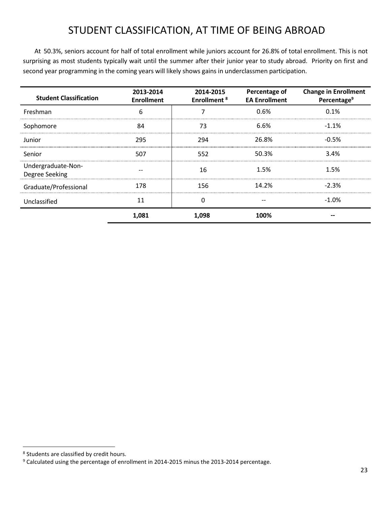# STUDENT CLASSIFICATION, AT TIME OF BEING ABROAD

<span id="page-23-0"></span>At 50.3%, seniors account for half of total enrollment while juniors account for 26.8% of total enrollment. This is not surprising as most students typically wait until the summer after their junior year to study abroad. Priority on first and second year programming in the coming years will likely shows gains in underclassmen participation.

| <b>Student Classification</b>        | 2013-2014<br><b>Enrollment</b> | 2014-2015<br><b>Enrollment<sup>8</sup></b> | Percentage of<br><b>EA Enrollment</b> | <b>Change in Enrollment</b><br>Percentage <sup>9</sup> |
|--------------------------------------|--------------------------------|--------------------------------------------|---------------------------------------|--------------------------------------------------------|
| Freshman                             | 6                              |                                            | 0.6%                                  | 0.1%                                                   |
| Sophomore                            | 84                             | 73                                         | 6.6%                                  | $-1.1%$                                                |
| Junior                               | 295                            | 294                                        | 26.8%                                 | $-0.5%$                                                |
| Senior                               | 507                            | 552                                        | 50.3%                                 | 3.4%                                                   |
| Undergraduate-Non-<br>Degree Seeking |                                | 16                                         | 1.5%                                  | 1.5%                                                   |
| Graduate/Professional                | 178                            | 156                                        | 14.2%                                 | $-2.3%$                                                |
| Unclassified                         | 11                             | O                                          |                                       | $-1.0%$                                                |
|                                      | 1,081                          | 1,098                                      | 100%                                  | --                                                     |

 $\overline{\phantom{a}}$ 

<sup>&</sup>lt;sup>8</sup> Students are classified by credit hours.

<sup>9</sup> Calculated using the percentage of enrollment in 2014-2015 minus the 2013-2014 percentage.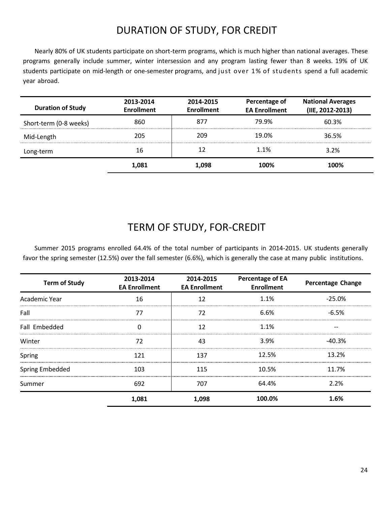# DURATION OF STUDY, FOR CREDIT

<span id="page-24-0"></span>Nearly 80% of UK students participate on short-term programs, which is much higher than national averages. These programs generally include summer, winter intersession and any program lasting fewer than 8 weeks. 19% of UK students participate on mid-length or one-semester programs, and just over 1% of students spend a full academic year abroad.

| <b>Duration of Study</b> | 2013-2014<br><b>Enrollment</b> | 2014-2015<br><b>Enrollment</b> | Percentage of<br><b>EA Enrollment</b> | <b>National Averages</b><br>(IIE, 2012-2013) |
|--------------------------|--------------------------------|--------------------------------|---------------------------------------|----------------------------------------------|
| Short-term (0-8 weeks)   | 860                            | 877                            | 79.9%                                 | 60.3%                                        |
| Mid-Length               | 205                            | 209                            | 19.0%                                 | 36.5%                                        |
| Long-term                | 16                             |                                | 1.1%                                  | 3.2%                                         |
|                          | 1.081                          | 1.098                          | 100%                                  | 100%                                         |

#### TERM OF STUDY, FOR-CREDIT

<span id="page-24-1"></span>Summer 2015 programs enrolled 64.4% of the total number of participants in 2014-2015. UK students generally favor the spring semester (12.5%) over the fall semester (6.6%), which is generally the case at many public institutions.

| <b>Term of Study</b> | 2013-2014<br><b>EA Enrollment</b> | 2014-2015<br><b>EA Enrollment</b> | <b>Percentage of EA</b><br><b>Enrollment</b> | <b>Percentage Change</b> |
|----------------------|-----------------------------------|-----------------------------------|----------------------------------------------|--------------------------|
| Academic Year        | 16                                | 17                                | 1.1%                                         | $-25.0%$                 |
| Fall                 |                                   | 77                                | 6.6%                                         | $-6.5%$                  |
| Fall Embedded        |                                   | 17                                | 1.1%                                         |                          |
| Winter               | 72                                | 43                                | 3.9%                                         | $-40.3%$                 |
| Spring               | 171                               | 137                               | 12.5%                                        | 13.2%                    |
| Spring Embedded      | 103                               | 115                               | 10.5%                                        | 11.7%                    |
| Summer               | 692                               | 707                               | 64.4%                                        | 2.2%                     |
|                      | 1,081                             | 1,098                             | 100.0%                                       | 1.6%                     |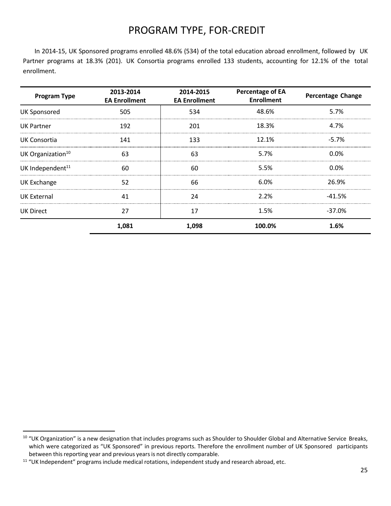# PROGRAM TYPE, FOR-CREDIT

<span id="page-25-0"></span>In 2014-15, UK Sponsored programs enrolled 48.6% (534) of the total education abroad enrollment, followed by UK Partner programs at 18.3% (201). UK Consortia programs enrolled 133 students, accounting for 12.1% of the total enrollment.

| <b>Program Type</b>           | 2013-2014<br><b>EA Enrollment</b> | 2014-2015<br><b>EA Enrollment</b> | <b>Percentage of EA</b><br><b>Enrollment</b> | <b>Percentage Change</b> |
|-------------------------------|-----------------------------------|-----------------------------------|----------------------------------------------|--------------------------|
| <b>UK Sponsored</b>           | 505                               | 534                               | 48.6%                                        | 5.7%                     |
| UK Partner                    | 192                               | 201                               | 18.3%                                        | 4.7%                     |
| UK Consortia                  | 141                               | 133                               | 12.1%                                        | $-5.7\%$                 |
| UK Organization <sup>10</sup> | 63                                | 63                                | 5.7%                                         | $0.0\%$                  |
| UK Independent <sup>11</sup>  | 60                                | 60                                | 5.5%                                         | 0.0%                     |
| <b>UK Exchange</b>            | 52                                | 66                                | 6.0%                                         | 26.9%                    |
| UK External                   | 41                                | 24                                | 2.2%                                         | $-41.5%$                 |
| <b>UK Direct</b>              | 27                                | 17                                | 1.5%                                         | $-37.0%$                 |
|                               | 1,081                             | 1,098                             | 100.0%                                       | 1.6%                     |

l

<sup>&</sup>lt;sup>10</sup> "UK Organization" is a new designation that includes programs such as Shoulder to Shoulder Global and Alternative Service Breaks, which were categorized as "UK Sponsored" in previous reports. Therefore the enrollment number of UK Sponsored participants between this reporting year and previous years is not directly comparable.

<sup>&</sup>lt;sup>11</sup> "UK Independent" programs include medical rotations, independent study and research abroad, etc.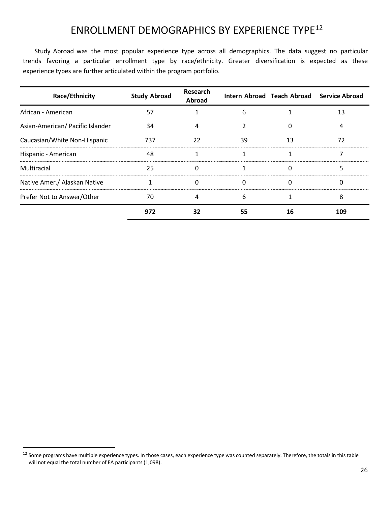## ENROLLMENT DEMOGRAPHICS BY EXPERIENCE TYPE<sup>12</sup>

<span id="page-26-0"></span>Study Abroad was the most popular experience type across all demographics. The data suggest no particular trends favoring a particular enrollment type by race/ethnicity. Greater diversification is expected as these experience types are further articulated within the program portfolio.

| Race/Ethnicity                   | <b>Study Abroad</b> | Research<br><b>Abroad</b> |    | Intern Abroad Teach Abroad | <b>Service Abroad</b> |
|----------------------------------|---------------------|---------------------------|----|----------------------------|-----------------------|
| African - American               | 57                  |                           | 6  |                            | 13                    |
| Asian-American/ Pacific Islander | 34                  | 4                         | 2  | 0                          | 4                     |
| Caucasian/White Non-Hispanic     | 737                 | 22                        | 39 | 13                         | 72                    |
| Hispanic - American              | 48                  |                           |    |                            |                       |
| Multiracial                      | 25                  | 0                         |    | 0                          |                       |
| Native Amer./ Alaskan Native     |                     |                           | 0  | 0                          |                       |
| Prefer Not to Answer/Other       | 70                  | 4                         | 6  |                            |                       |
|                                  | 972                 | 32                        | 55 | 16                         | 109                   |

 $\overline{\phantom{a}}$ 

<sup>&</sup>lt;sup>12</sup> Some programs have multiple experience types. In those cases, each experience type was counted separately. Therefore, the totals in this table will not equal the total number of EA participants (1,098).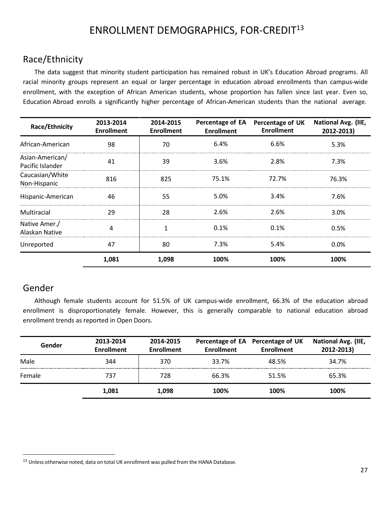# ENROLLMENT DEMOGRAPHICS, FOR-CREDIT<sup>13</sup>

#### <span id="page-27-1"></span><span id="page-27-0"></span>Race/Ethnicity

The data suggest that minority student participation has remained robust in UK's Education Abroad programs. All racial minority groups represent an equal or larger percentage in education abroad enrollments than campus-wide enrollment, with the exception of African American students, whose proportion has fallen since last year. Even so, Education Abroad enrolls a significantly higher percentage of African-American students than the national average.

| <b>Race/Ethnicity</b>               | 2013-2014<br><b>Enrollment</b> | 2014-2015<br><b>Enrollment</b> | Percentage of EA<br><b>Enrollment</b> | <b>Percentage of UK</b><br><b>Enrollment</b> | <b>National Avg. (IIE,</b><br>2012-2013) |
|-------------------------------------|--------------------------------|--------------------------------|---------------------------------------|----------------------------------------------|------------------------------------------|
| African-American                    | 98                             | 70                             | 6.4%                                  | 6.6%                                         | 5.3%                                     |
| Asian-American/<br>Pacific Islander | 41                             | 39                             | 3.6%                                  | 2.8%                                         | 7.3%                                     |
| Caucasian/White<br>Non-Hispanic     | 816                            | 825                            | 75.1%                                 | 72.7%                                        | 76.3%                                    |
| Hispanic-American                   | 46                             | 55                             | 5.0%                                  | 3.4%                                         | 7.6%                                     |
| Multiracial                         | 29                             | 28                             | 2.6%                                  | 2.6%                                         | 3.0%                                     |
| Native Amer./<br>Alaskan Native     | 4                              |                                | 0.1%                                  | 0.1%                                         | 0.5%                                     |
| Unreported                          | 47                             | 80                             | 7.3%                                  | 5.4%                                         | 0.0%                                     |
|                                     | 1,081                          | 1,098                          | 100%                                  | 100%                                         | 100%                                     |

#### <span id="page-27-2"></span>Gender

l

Although female students account for 51.5% of UK campus-wide enrollment, 66.3% of the education abroad enrollment is disproportionately female. However, this is generally comparable to national education abroad enrollment trends as reported in Open Doors.

| Gender | 2013-2014<br><b>Enrollment</b> | 2014-2015<br><b>Enrollment</b> | <b>Enrollment</b> | Percentage of EA Percentage of UK<br><b>Enrollment</b> | National Avg. (IIE,<br>2012-2013) |
|--------|--------------------------------|--------------------------------|-------------------|--------------------------------------------------------|-----------------------------------|
| Male   | 344                            | 370                            | 33.7%             | 48.5%                                                  | 34.7%                             |
| Female | 737                            | 728                            | 66.3%             | 51.5%                                                  | 65.3%                             |
|        | 1,081                          | 1,098                          | 100%              | 100%                                                   | 100%                              |

<sup>&</sup>lt;sup>13</sup> Unless otherwise noted, data on total UK enrollment was pulled from the HANA Database.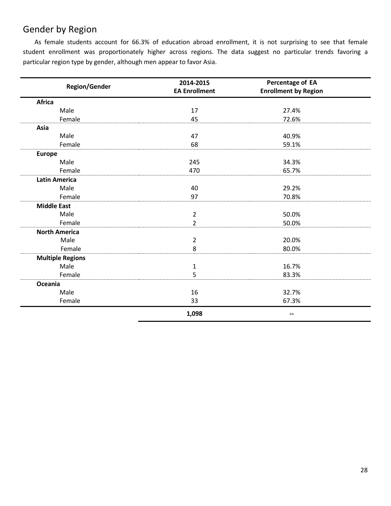#### <span id="page-28-0"></span>Gender by Region

As female students account for 66.3% of education abroad enrollment, it is not surprising to see that female student enrollment was proportionately higher across regions. The data suggest no particular trends favoring a particular region type by gender, although men appear to favor Asia.

| <b>Region/Gender</b>    | 2014-2015<br><b>EA Enrollment</b> | Percentage of EA<br><b>Enrollment by Region</b> |
|-------------------------|-----------------------------------|-------------------------------------------------|
| <b>Africa</b>           |                                   |                                                 |
| Male                    | 17                                | 27.4%                                           |
| Female                  | 45                                | 72.6%                                           |
| Asia                    |                                   |                                                 |
| Male                    | 47                                | 40.9%                                           |
| Female                  | 68                                | 59.1%                                           |
| <b>Europe</b>           |                                   |                                                 |
| Male                    | 245                               | 34.3%                                           |
| Female                  | 470                               | 65.7%                                           |
| <b>Latin America</b>    |                                   |                                                 |
| Male                    | 40                                | 29.2%                                           |
| Female                  | 97                                | 70.8%                                           |
| <b>Middle East</b>      |                                   |                                                 |
| Male                    | $\overline{2}$                    | 50.0%                                           |
| Female                  | $\overline{2}$                    | 50.0%                                           |
| <b>North America</b>    |                                   |                                                 |
| Male                    | $\overline{2}$                    | 20.0%                                           |
| Female                  | 8                                 | 80.0%                                           |
| <b>Multiple Regions</b> |                                   |                                                 |
| Male                    | 1                                 | 16.7%                                           |
| Female                  | 5                                 | 83.3%                                           |
| Oceania                 |                                   |                                                 |
| Male                    | 16                                | 32.7%                                           |
| Female                  | 33                                | 67.3%                                           |
|                         | 1,098                             |                                                 |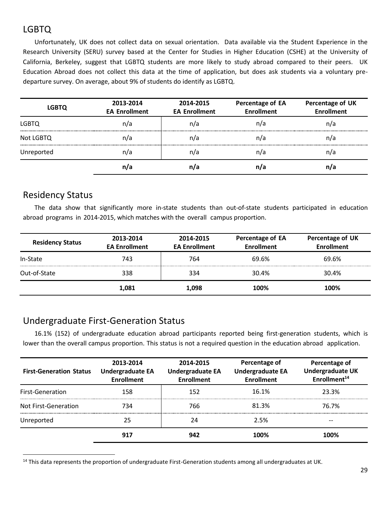### <span id="page-29-0"></span>LGBTQ

Unfortunately, UK does not collect data on sexual orientation. Data available via the Student Experience in the Research University (SERU) survey based at the Center for Studies in Higher Education (CSHE) at the University of California, Berkeley, suggest that LGBTQ students are more likely to study abroad compared to their peers. UK Education Abroad does not collect this data at the time of application, but does ask students via a voluntary predeparture survey. On average, about 9% of students do identify as LGBTQ.

| <b>LGBTQ</b> | 2013-2014<br><b>EA Enrollment</b> | 2014-2015<br><b>EA Enrollment</b> | Percentage of EA<br><b>Enrollment</b> | Percentage of UK<br><b>Enrollment</b> |
|--------------|-----------------------------------|-----------------------------------|---------------------------------------|---------------------------------------|
| <b>LGBTQ</b> | n/a                               | n/a                               | n/a                                   | n/a                                   |
| Not LGBTQ    | n/a                               | n/a                               | n/a                                   | n/a                                   |
| Unreported   | n/a                               | n/a                               | n/a                                   | n/a                                   |
|              | n/a                               |                                   | n/a                                   | n/a                                   |

#### <span id="page-29-1"></span>Residency Status

l

The data show that significantly more in-state students than out-of-state students participated in education abroad programs in 2014-2015, which matches with the overall campus proportion.

| <b>Residency Status</b> | 2013-2014<br><b>EA Enrollment</b> | 2014-2015<br><b>EA Enrollment</b> | Percentage of EA<br><b>Enrollment</b> | Percentage of UK<br><b>Enrollment</b> |
|-------------------------|-----------------------------------|-----------------------------------|---------------------------------------|---------------------------------------|
| In-State                | 743                               | 764                               | 69.6%                                 | 69.6%                                 |
| Out-of-State            | 338                               | 334                               | 30.4%                                 | 30.4%                                 |
|                         | 1,081                             | 1.098                             | 100%                                  | 100%                                  |

#### <span id="page-29-2"></span>Undergraduate First-Generation Status

16.1% (152) of undergraduate education abroad participants reported being first-generation students, which is lower than the overall campus proportion. This status is not a required question in the education abroad application.

| <b>First-Generation Status</b> | 2013-2014<br><b>Undergraduate EA</b><br><b>Enrollment</b> | 2014-2015<br><b>Undergraduate EA</b><br><b>Enrollment</b> | Percentage of<br><b>Undergraduate EA</b><br><b>Enrollment</b> | Percentage of<br><b>Undergraduate UK</b><br>Enrollment <sup>14</sup> |  |
|--------------------------------|-----------------------------------------------------------|-----------------------------------------------------------|---------------------------------------------------------------|----------------------------------------------------------------------|--|
| <b>First-Generation</b>        | 158                                                       | 152                                                       | 16.1%                                                         | 23.3%                                                                |  |
| Not First-Generation           | 734                                                       | 766                                                       | 81.3%                                                         | 76.7%                                                                |  |
| Unreported                     |                                                           | 24                                                        | 2.5%                                                          | $- -$                                                                |  |
|                                | 917                                                       | 942                                                       | 1በበ%                                                          | 100%                                                                 |  |

<sup>&</sup>lt;sup>14</sup> This data represents the proportion of undergraduate First-Generation students among all undergraduates at UK.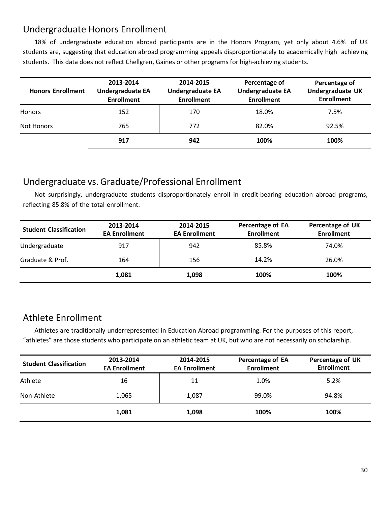#### <span id="page-30-0"></span>Undergraduate Honors Enrollment

18% of undergraduate education abroad participants are in the Honors Program, yet only about 4.6% of UK students are, suggesting that education abroad programming appeals disproportionately to academically high achieving students. This data does not reflect Chellgren, Gaines or other programs for high-achieving students.

| <b>Honors Enrollment</b> | 2013-2014<br><b>Undergraduate EA</b><br><b>Enrollment</b> | 2014-2015<br><b>Undergraduate EA</b><br><b>Enrollment</b> | Percentage of<br><b>Undergraduate EA</b><br><b>Enrollment</b> | Percentage of<br><b>Undergraduate UK</b><br><b>Enrollment</b> |  |
|--------------------------|-----------------------------------------------------------|-----------------------------------------------------------|---------------------------------------------------------------|---------------------------------------------------------------|--|
| <b>Honors</b>            | 152                                                       | 170                                                       | 18.0%                                                         | 7.5%                                                          |  |
| Not Honors               | 765                                                       | 772.                                                      | 82.0%                                                         | 92.5%                                                         |  |
|                          | 917                                                       | 942                                                       | 100%                                                          | 100%                                                          |  |

## <span id="page-30-1"></span>Undergraduate vs.Graduate/Professional Enrollment

Not surprisingly, undergraduate students disproportionately enroll in credit-bearing education abroad programs, reflecting 85.8% of the total enrollment.

| <b>Student Classification</b> | 2013-2014<br><b>EA Enrollment</b> | 2014-2015<br><b>EA Enrollment</b> | Percentage of EA<br><b>Enrollment</b> | Percentage of UK<br><b>Enrollment</b> |
|-------------------------------|-----------------------------------|-----------------------------------|---------------------------------------|---------------------------------------|
| Undergraduate                 | 917                               | 942                               | 85.8%                                 | 74.0%                                 |
| Graduate & Prof.              | 164                               | 156                               | 14.2%                                 | 26.0%                                 |
|                               | 1,081                             | 1.098                             | 100%                                  | 100%                                  |

#### <span id="page-30-2"></span>Athlete Enrollment

Athletes are traditionally underrepresented in Education Abroad programming. For the purposes of this report, "athletes" are those students who participate on an athletic team at UK, but who are not necessarily on scholarship.

| <b>Student Classification</b> | 2013-2014<br><b>EA Enrollment</b> | 2014-2015<br><b>EA Enrollment</b> | Percentage of EA<br><b>Enrollment</b> | Percentage of UK<br><b>Enrollment</b><br>5.2% |  |
|-------------------------------|-----------------------------------|-----------------------------------|---------------------------------------|-----------------------------------------------|--|
| Athlete                       | 16                                |                                   | 1.0%                                  |                                               |  |
| Non-Athlete                   | 1,065<br>1,087                    |                                   | 99.0%                                 | 94.8%                                         |  |
|                               | 1,081                             | 1,098                             | 100%                                  | 100%                                          |  |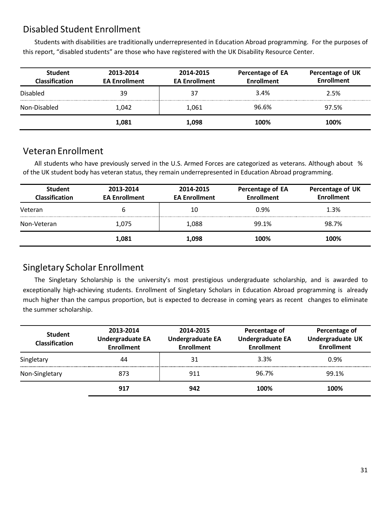#### <span id="page-31-0"></span>Disabled Student Enrollment

Students with disabilities are traditionally underrepresented in Education Abroad programming. For the purposes of this report, "disabled students" are those who have registered with the UK Disability Resource Center.

| <b>Student</b><br><b>Classification</b> | 2013-2014<br><b>EA Enrollment</b> | Percentage of EA<br>2014-2015<br><b>Enrollment</b><br><b>EA Enrollment</b> |       | Percentage of UK<br><b>Enrollment</b> |
|-----------------------------------------|-----------------------------------|----------------------------------------------------------------------------|-------|---------------------------------------|
| <b>Disabled</b>                         | 39                                | 37                                                                         | 3.4%  | 2.5%                                  |
| Non-Disabled                            | 1,042                             | 1,061                                                                      | 96.6% | 97.5%                                 |
|                                         | 1,081                             | 1.098                                                                      | 100%  | 100%                                  |

#### <span id="page-31-1"></span>Veteran Enrollment

All students who have previously served in the U.S. Armed Forces are categorized as veterans. Although about % of the UK student body has veteran status, they remain underrepresented in Education Abroad programming.

| <b>Student</b><br><b>Classification</b> | 2013-2014<br><b>EA Enrollment</b> | 2014-2015<br>Percentage of EA<br><b>Enrollment</b><br><b>EA Enrollment</b> |       | Percentage of UK<br><b>Enrollment</b> |
|-----------------------------------------|-----------------------------------|----------------------------------------------------------------------------|-------|---------------------------------------|
| Veteran                                 | b                                 | 10                                                                         | 0.9%  | 1.3%                                  |
| Non-Veteran                             | 1,075                             | 1,088                                                                      | 99.1% | 98.7%                                 |
|                                         | 1,081                             | 1,098                                                                      | 100%  | 100%                                  |

#### <span id="page-31-2"></span>Singletary Scholar Enrollment

The Singletary Scholarship is the university's most prestigious undergraduate scholarship, and is awarded to exceptionally high-achieving students. Enrollment of Singletary Scholars in Education Abroad programming is already much higher than the campus proportion, but is expected to decrease in coming years as recent changes to eliminate the summer scholarship.

| <b>Student</b><br><b>Classification</b> | 2013-2014<br><b>Undergraduate EA</b><br><b>Enrollment</b> | Percentage of<br>2014-2015<br><b>Undergraduate EA</b><br><b>Undergraduate EA</b><br><b>Enrollment</b><br><b>Enrollment</b> |       | Percentage of<br>Undergraduate UK<br><b>Enrollment</b> |  |
|-----------------------------------------|-----------------------------------------------------------|----------------------------------------------------------------------------------------------------------------------------|-------|--------------------------------------------------------|--|
| Singletary                              | 44                                                        | 31                                                                                                                         | 3.3%  | 0.9%                                                   |  |
| Non-Singletary                          | 873                                                       | 911                                                                                                                        | 96.7% | 99.1%                                                  |  |
|                                         | 917                                                       | 942                                                                                                                        | 100%  | 100%                                                   |  |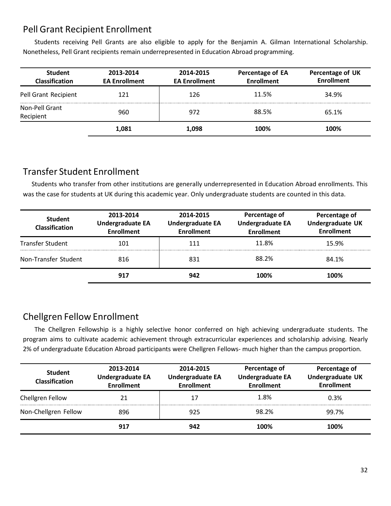#### <span id="page-32-0"></span>Pell Grant Recipient Enrollment

Students receiving Pell Grants are also eligible to apply for the Benjamin A. Gilman International Scholarship. Nonetheless, Pell Grant recipients remain underrepresented in Education Abroad programming.

| <b>Student</b><br><b>Classification</b> | 2013-2014<br><b>EA Enrollment</b> | Percentage of EA<br>2014-2015<br><b>EA Enrollment</b><br><b>Enrollment</b> |       | Percentage of UK<br><b>Enrollment</b> |
|-----------------------------------------|-----------------------------------|----------------------------------------------------------------------------|-------|---------------------------------------|
| Pell Grant Recipient                    | 121                               | 126                                                                        | 11.5% | 34.9%                                 |
| Non-Pell Grant<br>Recipient             | 960                               | 972                                                                        | 88.5% | 65.1%                                 |
|                                         | 1,081                             | 1.098                                                                      | 100%  | 100%                                  |

#### <span id="page-32-1"></span>Transfer Student Enrollment

Students who transfer from other institutions are generally underrepresented in Education Abroad enrollments. This was the case for students at UK during this academic year. Only undergraduate students are counted in this data.

| <b>Student</b><br>Classification | 2013-2014<br><b>Undergraduate EA</b><br><b>Enrollment</b> | 2014-2015<br><b>Undergraduate EA</b><br><b>Enrollment</b> | Percentage of<br><b>Undergraduate EA</b><br><b>Enrollment</b> | Percentage of<br>Undergraduate UK<br><b>Enrollment</b> |  |
|----------------------------------|-----------------------------------------------------------|-----------------------------------------------------------|---------------------------------------------------------------|--------------------------------------------------------|--|
| <b>Transfer Student</b>          | 101                                                       | 111                                                       | 11.8%                                                         | 15.9%                                                  |  |
| Non-Transfer Student             | 816                                                       | 831                                                       | 88.2%                                                         | 84.1%                                                  |  |
|                                  | 917                                                       | 942                                                       | 100%                                                          | 100%                                                   |  |

#### <span id="page-32-2"></span>Chellgren Fellow Enrollment

The Chellgren Fellowship is a highly selective honor conferred on high achieving undergraduate students. The program aims to cultivate academic achievement through extracurricular experiences and scholarship advising. Nearly 2% of undergraduate Education Abroad participants were Chellgren Fellows- much higher than the campus proportion.

| <b>Student</b><br><b>Classification</b> | 2013-2014<br><b>Undergraduate EA</b><br><b>Enrollment</b> | 2014-2015<br><b>Undergraduate EA</b><br><b>Enrollment</b> | Percentage of<br><b>Undergraduate EA</b><br><b>Enrollment</b> | Percentage of<br><b>Undergraduate UK</b><br><b>Enrollment</b> |  |
|-----------------------------------------|-----------------------------------------------------------|-----------------------------------------------------------|---------------------------------------------------------------|---------------------------------------------------------------|--|
| Chellgren Fellow                        | 21                                                        |                                                           | 1.8%                                                          | 0.3%                                                          |  |
| Non-Chellgren Fellow                    | 896                                                       | 925                                                       | 98.2%                                                         | 99.7%                                                         |  |
|                                         | 917                                                       | 942                                                       | 100%                                                          | 100%                                                          |  |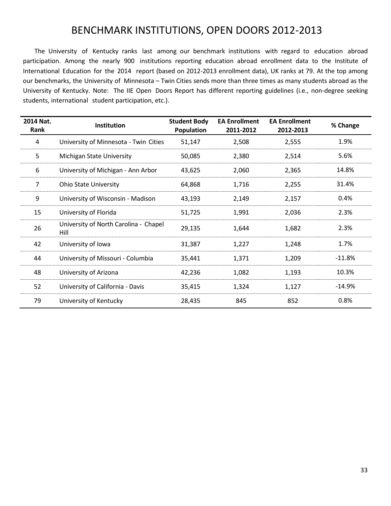## BENCHMARK INSTITUTIONS, OPEN DOORS 2012-2013

<span id="page-33-0"></span>The University of Kentucky ranks last among our benchmark institutions with regard to education abroad participation. Among the nearly 900 institutions reporting education abroad enrollment data to the Institute of International Education for the 2014 report (based on 2012-2013 enrollment data), UK ranks at 79. At the top among our benchmarks, the University of Minnesota – Twin Cities sends more than three times as many students abroad as the University of Kentucky. Note: The IIE Open Doors Report has different reporting guidelines (i.e., non-degree seeking students, international student participation, etc.).

| 2014 Nat.<br>Rank | Institution                                   | <b>Student Body</b><br>Population | <b>EA Enrollment</b><br>2011-2012 | <b>EA Enrollment</b><br>2012-2013 | % Change  |
|-------------------|-----------------------------------------------|-----------------------------------|-----------------------------------|-----------------------------------|-----------|
| 4                 | University of Minnesota - Twin Cities         | 51,147                            | 2,508                             | 2,555                             | 1.9%      |
| 5                 | Michigan State University                     | 50,085                            | 2,380                             | 2,514                             | 5.6%      |
| 6                 | University of Michigan - Ann Arbor            | 43,625                            | 2,060                             | 2,365                             | 14.8%     |
| 7                 | <b>Ohio State University</b>                  | 64,868                            | 1,716                             | 2,255                             | 31.4%     |
| 9                 | University of Wisconsin - Madison             | 43,193                            | 2,149                             | 2,157                             | 0.4%      |
| 15                | University of Florida                         | 51,725                            | 1,991                             | 2,036                             | 2.3%      |
| 26                | University of North Carolina - Chapel<br>Hill | 29,135                            | 1,644                             | 1,682                             | 2.3%      |
| 42                | University of Iowa                            | 31,387                            | 1,227                             | 1,248                             | 1.7%      |
| 44                | University of Missouri - Columbia             | 35,441                            | 1,371                             | 1,209                             | $-11.8\%$ |
| 48                | University of Arizona                         | 42,236                            | 1,082                             | 1,193                             | 10.3%     |
| 52                | University of California - Davis              | 35,415                            | 1,324                             | 1,127                             | $-14.9%$  |
| 79                | University of Kentucky                        | 28,435                            | 845                               | 852                               | 0.8%      |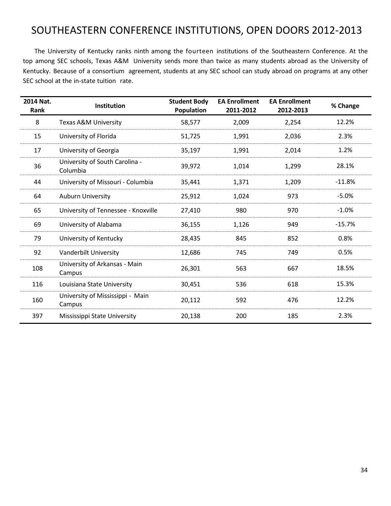# <span id="page-34-0"></span>SOUTHEASTERN CONFERENCE INSTITUTIONS, OPEN DOORS 2012-2013

The University of Kentucky ranks ninth among the fourteen institutions of the Southeastern Conference. At the top among SEC schools, Texas A&M University sends more than twice as many students abroad as the University of Kentucky. Because of a consortium agreement, students at any SEC school can study abroad on programs at any other SEC school at the in-state tuition rate.

| 2014 Nat.<br>Rank | <b>Institution</b>                         | <b>Student Body</b><br><b>Population</b> | <b>EA Enrollment</b><br>2011-2012 | <b>EA Enrollment</b><br>2012-2013 | % Change |
|-------------------|--------------------------------------------|------------------------------------------|-----------------------------------|-----------------------------------|----------|
| 8                 | Texas A&M University                       | 58,577                                   | 2,009                             | 2,254                             | 12.2%    |
| 15                | University of Florida                      | 51,725                                   | 1,991                             | 2,036                             | 2.3%     |
| 17                | University of Georgia                      | 35,197                                   | 1,991                             | 2,014                             | 1.2%     |
| 36                | University of South Carolina -<br>Columbia | 39,972                                   | 1,014                             | 1,299                             | 28.1%    |
| 44                | University of Missouri - Columbia          | 35,441                                   | 1,371                             | 1,209                             | $-11.8%$ |
| 64                | <b>Auburn University</b>                   | 25,912                                   | 1,024                             | 973                               | $-5.0%$  |
| 65                | University of Tennessee - Knoxville        | 27,410                                   | 980                               | 970                               | $-1.0%$  |
| 69                | University of Alabama                      | 36,155                                   | 1,126                             | 949                               | $-15.7%$ |
| 79                | University of Kentucky                     | 28,435                                   | 845                               | 852                               | 0.8%     |
| 92                | Vanderbilt University                      | 12,686                                   | 745                               | 749                               | 0.5%     |
| 108               | University of Arkansas - Main<br>Campus    | 26,301                                   | 563                               | 667                               | 18.5%    |
| 116               | Louisiana State University                 | 30,451                                   | 536                               | 618                               | 15.3%    |
| 160               | University of Mississippi - Main<br>Campus | 20,112                                   | 592                               | 476                               | 12.2%    |
| 397               | Mississippi State University               | 20,138                                   | 200                               | 185                               | 2.3%     |